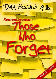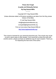#### **Those who Forget (Loyalty and Disloyalty Series) By Dag Heward-Mills** \* \* \* \* \*

Copyright 2011 Dag Heward-Mills

Unless otherwise stated, all Scripture quotations are taken from the King James Version of the Bible.

E mail Dag Heward-Mills:

info@daghewardmillsbooks.org

evangelist@daghewardmills.org

Find out more about Dag Heward-Mills at:

http://www.daghewardmills.org/

This e-book is licensed for your personal enjoyment only. This e-book may not be re-sold or given away to other people. If you would like to share this book with another person, please purchase an additional copy for each recipient. Thank you for respecting the hard work of this author.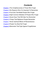#### *Contents*

Chapter 1-The Unrighteousness of Those Who Forget Chapter 2-Six Reasons Why It Is Important To Remember [Chapter](#page-3-0) 3-Five Evils That Befall People Who Forget [Chapter](#page-12-0) 4-Eight Common Mistakes Of People Who Forget [Chapter](#page-18-0) 5-Seven Keys That Will Help You Remember [Chapter](#page-28-0) 6-Things That Righteous People Remember [Chapter](#page-44-0) 7-Seven Spiritual Effects Of Remembrance [Chapter](#page-53-0) 8-People You Must Not Forget [Chapter](#page-60-0) 9-Memorials That Fight Against Forgetfulness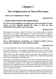# **Chapter 1**

# <span id="page-3-0"></span>**The Unrighteousness of Those Who Forget**

… **God is not unrighteous to forget …**

**Hebrews 6:10**

#### **1. PEOPLE WHO FORGET ARE UNRIGHTEOUS.**

**For God is not unrighteous to forget your work and labour of love, which ye have shewed toward his name, in that ye have ministered to the saints, and do minister.**

#### **Hebrews 6:10**

Most people are conscious about the "big four" sins: lying, stealing, fornication and murder. If you were to ask people for a list of sins they are not likely to mention the sin of forgetting. But God's Word is clear on the subject. Forgetting is unrighteousness! To forget, to fail to acknowledge, to fail to remember are sins before God.

#### **Can a maid forget her ornaments, or a bride her attire? yet my people have forgotten me days without number.**

#### **Jeremiah 2:32**

It is incomprehensible to think of some of the things unrighteous people forget.

This classic Scripture on the subject of backsliding shows how a bride will not forget her wedding dress. The wedding dress is the most precious thing to a bride.

Many brides order their wedding dresses long before their weddings. In this Scripture, the absurdity of forgetting God is likened to the unfathomable possibility that a bride would forget her wedding dress.

People grow up and forgot who cared for them, who nurtured them and who loved them. They forget those who brought them to Christ, those who raised them in the Lord and those who put them in the ministry. Is it possible that people can forget the people who helped them at the most important crossroads of their lives? Can they turn around and attack the very people who raised them up? The answer is "Yes"! It happens all the time.

People forget God when they prosper. Europe has forsaken God because they have become the richest continent. But it is God who gave them what they have. People become atheists after they become millionaires. What a pathetic sin it is to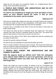forget the one who gave you everything! Indeed, it is unrighteousness that is worthy of the most terrible punishment.

#### **2. PEOPLE WHO FORGET ARE UNRIGHTEOUS AND DO NOT HAVE THE NATURE OF GOD.**

#### **For God is not unrighteous to forget your work and labour of love, which ye have shewed toward his name, in that ye have ministered to the saints, and do minister.**

#### **Hebrews 6:10**

God does not forget! Man forgets but God does not forget! People who forget do not have the nature of God! It is the manifestation of the fallen nature of wicked and depraved man to forget things that must never be forgotten.

A person who is controlled by the Word of God and the Spirit of God does not forget certain things.

The natural man does not like to remember those who helped him. The natural unsaved man does not like to remember where he came from. The natural man does not want anyone to know how he came to be who he is.

But that is not the nature of God. When Jesus walked the earth He constantly told us where He came from.

He said He could do nothing of Himself.

He said He was only speaking the words that His father gave Him.

This is in sharp contrast to the proud man of iniquity. The proud and wicked man does not reveal his origins and beginnings. He believes he is self-made and thinks he came on the scene by his own power.

#### **3. PEOPLE WHO FORGET ARE UNRIGHTEOUS AND ARE CURSED TO WITHER.**

**Doth the papyrus shoot up without mire? Doth the reed-grass grow without water? Whilst it is yet in his greenness, and not cut down, it withereth before any other herb. So are the paths of all that forget God…**

#### **Job 8:11-13**

People who forget are cursed to wither. So serious is the sin of forgetting that curses are rained on the lives of forgetful people. You don't need to hear a curse spoken against you for forgetting important things. The Holy Scriptures has already declared that those that forget God shall wither. Be careful that you remember all the ways the Lord has brought you and all the things He has done for you.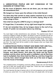**4. UNRIGHTEOUS PEOPLE ARE NOT CONSCIOUS OF THE DANGERS OF FORGETTING.**

**By the rivers of Babylon, there we sat down, yea, we wept, when we remembered Zion.**

**We hanged our harps upon the willows in the midst thereof.**

**For there they that carried us away captive required of us a song; and they that wasted us required of us mirth, saying, Sing us one of the songs of Zion.**

**How shall we sing the LORD'S song in a strange land?**

**If I forget thee, O Jerusalem, let my right hand forget her cunning.**

**If I do not remember thee, let my tongue cleave to the roof of my mouth; if I prefer not Jerusalem above my chief joy.**

#### **Psalms 137:1-6**

You must begin to take remembrance very seriously. The psalmist knew that it would be a tragedy to forget Jerusalem. He placed a curse on himself if he did not remember where he came from. This is how serious the issue of remembrance is. You might as well stop living if you do not remember certain things. Your tongue will cleave to the roof of your mouth if you cannot remember where God raised you from. Your right hand will be unable to write cheques when you forget what God has done for you.

#### **5. UNRIGHTEOUS PEOPLE FORGET GOD WHEN THEY ARE FULL, WHEN THEY HAVE HOUSES AND WHEN THEY ARE RICH.**

**Lest when thou hast eaten and art full, and hast built goodly houses, and dwelt therein; And when thy herds and thy flocks multiply, and thy silver and thy gold is multiplied, and all that thou hast is multiplied; then thine heart be lifted up, and thou forget the Lord thy God, which brought thee forth out of the land of Egypt, from the house of bondage;**

# **Deuteronomy 8:12-14**

The unrighteousness of forgetting commonly affects people who are full! People who live in their own houses tend to forget God. Those who have multiplied all that they have also quickly forget God.

You must become the type of person who is rich and prosperous and yet mindful of where you came from. It is a sad fact that many rich people talk a lot but give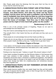little. People speak about the blessings God has given them but they do not honour God for what He has done.

#### **6. UNRIGHTEOUS PEOPLE WHO FORGET ARE OFTEN PROUD.**

**Lest when thou hast eaten and art full, and hast built goodly houses, and dwelt therein; And when thy herds and thy flocks multiply, and thy silver and thy gold is multiplied, and all that thou hast is multiplied; then thine heart be lifted up, and thou forget the Lord thy God, which brought thee forth out of the land of Egypt, from the house of bondage; "And thou say in thine heart, My power and the might of mine hand hath gotten me this wealth."**

# **Deuteronomy 8:12-14, 17**

Pride is one of the principal causes of forgetting. People do not want to acknowledge that God helped them.

They don't want to acknowledge that any human being helped them.

They actually think in their hearts that they are self-made and they want you to think same.

These people do not acknowledge God and their hearts are lifted up.

People who do not pay tithes do not acknowledge God's role in their prosperity. When people's hearts are lifted up they say, "I worked hard to get what I have."

#### **The Modern Pagans of Europe**

I once asked a rich European woman whether she believed in God. She looked at me in astonishment, almost amazed that I had asked such a "silly" question.

"Of course not," she answered.

Pointing to her chest she said, "I believe in myself. Why should I believe in God?"

I have heard countless Europeans say that Africans believe in God because they don't have solutions to their problems. Modern Europe, which once sent Christianity around the world, is drowned in unbelief and paganism. The hallmark of this demonic blight on Europe is the belief in self and the belief in hard work without God. Europe has fallen into unrighteousness and wickedness because they have forgotten God.

#### **7. UNRIGHTEOUS PEOPLE DO NOT REMEMBER ANYONE WHEN THEY BECOME WEALTHY.**

When people become wealthy they very easily forget how they got that wealth. They sort of assume that the wealth came to them through their own efforts but not really through the grace of God.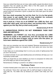Have you noticed that there are not many really wealthy people that attend church regularly? Few rich people pay tithes. Most of the tithe payers are salaried workers who do not earn very much.

The business tycoons think they earn "too much to pay tithes". This is why a special warning to remember is given to people who have been given the power to get wealth.

**But thou shalt remember the lord thy God: for it is he that giveth thee power to get wealth, that he may establish his covenant which he sware unto thy fathers, as it is this day.**

**And it shall be, if thou do at all FORGET the LORD thy God, and walk after other gods, and serve them, and worship them, I testify against you this day that ye shall surely perish.**

**Deuteronomy 8:18-19**

#### **8. UNRIGHTEOUS PEOPLE DO NOT REMEMBER THEIR PAST SINS AND MISTAKES.**

**REMEMBER, and FORGET not, how thou provokedst the LORD thy God to wrath in the wilderness: from the day that thou didst depart out of the land of Egypt, until ye came unto this place, ye have been rebellious against the LORD.**

#### **Deuteronomy 9:7**

Why must you remember your sins and mistakes? Because remembrance of your sins and mistakes makes you recognize how much grace and mercy has been shown to you.

It also helps you to acknowledge that it is not by any works of righteousness that you are in His service.

A constant reminder of your past rebelliousness and sinfulness will keep you in an importantly humble state.

When you forget that you were rebellious you have no compassion for others who are at the stage you were at some years ago.

Remembrance of failings is powerful in its ability to induce humility.

#### **The Broken Pastor**

A broken-hearted pastor once said to me, "My wife divorced me some years ago."

He continued, "Every time I get angry with my staff and begin to rebuke them, a voice tells me, 'You better shut up because you couldn't even keep your own wife'".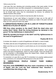I felt so sorry for him.

I had seen this man rebuking and correcting people a few years earlier. At that time, he seemed to have very little compassion or understanding for anyone.

But now after being abandoned by his wife he was a completely different person. As he himself said, every time he remembered his divorce, he softened his attitude towards other people.

I realized how much more humble he had become after his divorce.

Remembrance of your past failings is important to keep you on the path of righteousness. When you remember the mistakes you made in the past it will also keep you from going the same way again.

#### **9. UNRIGHTEOUS PEOPLE LIVE IN A LAND OF FORGETFULNESS WHICH IS A PLACE OF DEATH.**

**Wilt thou shew wonders to the dead? Shall the dead arise and praise thee? Selah. Shall thy loving kindness be declared in the grave? Or thy faithfulness in destruction?**

#### **Shall thy wonders be known in the dark? and thy righteousness in the land of forgetfulness?"**

# **Psalms 88:10-12**

A minister who dwells in a world of forgetfulness will dwell in a land of death.

The Bible calls the land of forgetfulness the land of death and the grave.

Make sure that you do not dwell in a world where you do not remember important things.

There are ministers who do not remember their spiritual fathers. Such people dwell in the land of forgetfulness, which is a land of death. There are people who do not remember or acknowledge those who helped them. Indeed, you dwell in the midst of death when you forget.

To remember is to give life to your life! To remember is to practise righteousness! God commands us to remember! Remembrance is the will of God!

#### **10. UNRIGHTEOUS PEOPLE FORGET THEIR HUMBLE BEGINNINGS.**

**And thou shalt REMEMBER that thou wast a bondman in the land of Egypt, and the Lord thy God redeemed thee: therefore I command thee this thing to day.**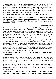The unrighteous man will forget that he was once a bondman. Remembering your humble beginnings is crucial in your fight against pride. Most great people have humble beginnings. Most great people have difficulties that they have risen out of. If people on earth were to remember where they came from, there would be a million times more love, understanding and compassion in the world. Indeed, there would be nicer bosses and kinder leaders everywhere.

# **11. UNRIGHTEOUS PEOPLE FORGET AFTER A SHORT WHILE.**

#### **Only take heed to thyself, and keep thy soul diligently, lest thou forget the things which thine eyes have seen, and lest they depart from thy heart all the days of thy life: but teach them thy sons, and thy sons' sons;**

#### **Deuteronomy 4:9**

Some things must never depart from your heart all the days of your life. It is important to remember some things for the rest of your life. When the Lord has done great things for you, you are not expected to remember it for only five years. Many people do not realize that they are indebted to God forever. It is not about remembering for a number of years. It is about remembering for the rest of your life. People remember their salvation for a few years and "mature" into a place where they never talk about salvation. How sad that is!

A young rebellious pastor once said about his spiritual father, "I don't owe him anything. I've honoured him enough." But he was making a mistake. He did owe him gratitude and honour for the rest of his life because what had been done for him had affected his whole life. Paul told Philemon, "You owe me your whole life."

Another puffed up pastor said to me, "I've served you for five years. I don't owe you anything." In effect, he was asking, "Do you want me to be grateful forever?" The answer is, "Yes, you must be grateful forever."

#### **12. UNRIGHTEOUS PEOPLE FORGET THEIR COVENANTS AND AGREEMENTS.**

Everyone will make a number of covenants in his life. For example, you may make a covenant to follow Christ, a covenant of obedience or a covenant of marriage. Often, by the time one side of the agreement is fulfilled people forget to fulfil their obligations. That is why covenants are made.

As sin has increased in the world the ability to remember has also decreased. As time has gone by, the word of mouth has virtually lost its value and come to be replaced by written documents. Sinful man has become a covenant breaker (Romans 1:31).

#### **Take heed unto yourselves, lest ye forget the covenant of the LORD your God, which he made with you, and make you a graven**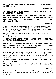**image, or the likeness of any thing, which the LORD thy God hath forbidden thee.**

**Deuteronomy 4:23**

# **13. BECAUSE UNRIGHTEOUS PEOPLE FORGET GOD, GOD WILL FORGET THEIR CHILDREN.**

#### **My people are destroyed for lack of knowledge: because thou hast rejected knowledge, I will also reject thee, that thou shalt be no priest to me: seeing thou hast forgotten the law of thy God, I will also forget thy children.**

# **Hosea 4:6**

There are many curses that follow people who forget God. What will happen if God forgets your children? They will be given over to the devil. Their hearts will not be touched to love God. They will become vagabonds, uprooted trees and wandering stars. They will be exposed to the wicked devices of Satan.

No parent is capable of totally controlling his children. It takes the grace of God. If God forgets your children there is no hope for them. Do not forget so that He will not forget your children!

# **14. BECAUSE UNRIGHTEOUS PEOPLE FORGET GOD, GOD WILL SEND FIRE INTO THEIR LIVES.**

#### **For Israel hath forgotten his Maker, and buildeth temples; and Judah hath multiplied fenced cities: but I will send a fire upon his cities, and it shall devour the palaces thereof.**

#### **Hosea 8:14**

Another curse that follows people who forget is fire! Fire speaks of trouble, destruction and damnation. Perhaps you have not considered how dangerous the sin of forgetfulness is. Forgetfulness attracts many a curse. May your life be delivered from the fire that devours men who lack remembrance!

#### **15. BECAUSE UNRIGHTEOUS PEOPLE FORGET GOD THEY WILL BE SENT TO HELL.**

#### **"The wicked shall be turned into hell, and all the nations that forget God"**

#### **Psalm 9:17**

People who forget God will be turned into Hell. Hell is a large lake of fire waiting to burn men who do not want to remember the most important person in this life – their maker.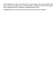The Scriptures are clear. God will throw out the people who have forgotten His name. You do not want to go to Hell. But Hell is reserved for those who forget God. Forgetting God is the ultimate unrighteousness of man.

Forgetting God is a more serious crime than we have wanted to believe.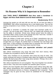# **Chapter 2**

# **Six Reasons Why it Is Important to Remember**

#### <span id="page-12-0"></span>**And THOU SHALT REMEMBER that thou wast a bondman in Egypt: and thou shalt observe and do these statutes.**

#### **Deuteronomy 16:12**

Amongst the people you will work with are men who do not have the ability to REMEMBER. Men without remembrance are a most deadly group. They are the brewing conspirators of your ministry. They are the up and coming traitors of your team.

*The ability to remember is probably the single most important quality for a minister.* I am set at ease when I discover that I am relating with someone who has the ability to remember. Almost every disloyal person lacks the ability to remember! When I think of some of the strange sons that I have had, I wonder if they cannot remember the times I had with them.

When the children of Israel were coming out of Egypt, remembrance was one thing God wanted them to have. He wanted them to remember how He had brought them out of Egypt. He wanted them to remember how bad things had been there. In their prosperity, He wanted them to remember the Lord God. God knew what would happen if they forgot these important things.

#### **1. Remembrance makes you appreciate salvation and preach about salvation.**

Men without remembrance sing songs that show their short memory. Most Christians are not grateful to God for their salvation.

Sadly, many Christians do not remember what Christ has done for them. The songs composed and sang by Christians today reflect this forgetful and unfaithful attitude. My heart jumps when I hear songs about salvation. Perhaps, this is why I love songs that speak of our salvation.

Men without remembrance do not evangelize. They have forgotten how salvation came to them. They have even forgotten how salvation gets to anyone.

Pastors who have forgotten about their salvation preach without doing altar calls. Men without remembrance have substituted the message of salvation for the popular motivational sermons on finance, management and "prosperity". These messages may be good but they cannot be substituted for the message of salvation.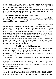It is Christians without remembrance who go round the world giving out food and water to sinners without ever preaching to them. Perhaps they have forgotten that no one will go to Heaven unless he is born again.

Churches are filled with happy-go-lucky Christians who want to celebrate their prosperity without a thought about how they got saved. What about others? Would I have been saved if no one had remembered?

#### **2. Remembrance makes you walk in your calling.**

#### **And THOU SHALT REMEMBER that thou wast a bondman in the land of Egypt, and the LORD thy God redeemed thee: therefore I command thee this thing to day.**

# **Deuteronomy 15:15**

I remember that I got saved in secondary school. I was about fifteen years old when I found the Lord. The memory of how I found Christ stays with me. I feel so blessed and favoured to be chosen and saved. The memory of it guides me in my current ministry. I find myself preaching in schools and universities. I have great hope when I see young boys and girls walking forward to receive Jesus Christ. I remember that I too gave my heart to the Lord in school. Some people seem to remember nothing. Perhaps salvation means nothing to them.

Some men who were raised in orphanages remember how they were shown the love of God. Some of them have built orphanages and cared for other children because they remember everything. Others walk away and rewrite their history, deleting every memory of the orphanage.

#### **The Memory of the Missionaries**

The memory of what God has brought you through is supposed to guide your present-day ministry. When I see the cemeteries of white missionaries, I remember how they shed their blood on Ghanaian soil for the salvation of an entire nation. Then I think of other remote nations, which are waiting for similar missionaries to come.

"Will anyone go?" I ask myself. "Will an entire nation perish because there is no missionary?"

I remember the sacrifice of these Swiss missionaries with gratitude. It is because Ghanaian churches are led by pastors who have forgotten about how missionaries came to die in Ghana, that they do not send missionaries to other similarly deprived areas.

# **3. Remembrance keeps you humble.**

When you remember where you came from, you always recognize that the grace of God has been at work. When you clearly remember where God picked you up from, you will not attribute your current success to any personal strengths or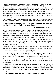wisdom. Unfortunately, people tend to black out their past. They refer to no one and they seem to remember nothing bad or difficult from their background.

Listening to them, you get the impression that they are self-made. They do not mention their beginnings, their struggles or their failings. You almost get the impression that you are reading about superman when you read about them!

But Paul said that he took pleasure in his infirmities and distressing situations. Paul told us that he had been beaten and whipped by unbelievers. This does not sound like superman.

Talking plainly about things God has brought you through will only make you thankful and humble. It will save you from self-deception and unnecessary pride.

#### **…Most gladly, therefore, I will rather boast about my weaknesses, so that the power of Christ may dwell in me.**

# **2 Corinthians 12:9, NASB**

A man of remembrance stays humble through the memories of his different trials and sufferings. It is wiser to share these difficulties than to share your victories. I have noticed how the Lord has helped me to share my uselessness with others.

Sometimes I end my sermons on a note of weakness and defeat. I take pleasure in the weakness that is real so that the power of Christ will rest on me.

I have seen the dead raised in my ministry but I have also seen many people die after I prayed for them. There are times I think about the powerlessness and uselessness of my life and ministry. I am learning to choose this way so that the power of Christ will rest on me.

There is no need to protect an image that needs no protection. Be real! Remember the realities of your life. Share them and help yourself to be humble.

#### **4. Remembrance makes you a grateful person.**

The sin of ungratefulness is as the sin of forgetfulness. They are almost synonymous. Sadly, people forget how they have been loved. Because people forget exactly how they were helped, they are indifferent to the source of help.

Some parents virtually have to beg their children to remember them in their old age. Some pastors virtually have to beg their congregations to honour them for their labours.

This world has six billion, ungrateful and forgetful people! This is what creates the discontentment, conflict and wars. There are people we must be grateful to. God wants us to be thankful and grateful for all His blessings. We must be grateful for the channels that God uses. We must be grateful for their faithfulness with what God gave to them.

# **5. Remembrance makes you kind and helpful to others.**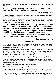Remembrance is important because it is supposed to govern your current behaviour.

#### **And thou shalt REMEMBER that thou wast a bondman in Egypt: and thou shalt observe and do these statutes.**

#### **Deuteronomy 16:12**

The Israelites were supposed to remember their past and allow this memory to influence their current behaviour.

In the Scripture I just quoted, remembering their past state of being bondmen would propel them to obey the Lord and include the fatherless, widows and strangers in their feasts of rejoicing.

**And thou shalt rejoice before the LORD thy God, thou, and thy son, and thy daughter, and thy manservant, and thy maidservant, and the Levite that is within thy gates, and the stranger, and the fatherless, and the widow, that are among you, in the place which the LORD thy God hath chosen to place his name there.**

**And thou shalt REMEMBER that thou wast a bondman in Egypt: and thou shalt observe and do these statutes.**

#### **Deuteronomy 16:11-12**

#### **You Can't Stay Here**

When you do not remember where you came from, you behave wrongly. One day, I noticed a lady who was constantly irritated by a stream of cousins, nieces and nephews who were living with her.

She did not want to have all these relations living in her house. She wanted her privacy. She wanted to enjoy her husband, her home and her children without interruption. But her husband insisted on having all these cousins, nieces, nephews and miscellaneous relations in the house.

The conflict that this situation was brewing brought the problem to my attention.

One day I asked my wife, "What type of home did this lady grow up in? Did she live with her Daddy, her Mummy and other brothers and sisters?" (You see, my wife knows everything).

My wife smiled and answered, "No, not at all, she didn't."

"So what kind of home did she grow up in?" I asked.

"Oh, she lived with her aunty for most of her early days. Her mother had travelled away for most of her childhood and she grew up living in other people's homes."

Then I thought to myself, "Has this lady forgotten that she was a guest and maybe a bother to someone for many years? Can she not accommodate relatives as she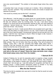was once accommodated?" The problem is that people forget where they came from.

I remember that it was not easy to break out in ministry. I felt so intimidated by senior "big shot" ministers. They commanded crowds and crowds of people and seemed so powerful.

"How would my ministry ever be like this?" I wondered.

#### **I Was Mocked**

One afternoon, I met the pastor of a large church at a social function. He looked me up and down and said, "Pastor Dag." When he addressed me as "Pastor", I felt silly and withered under his mocking smile. You see, I had about twenty people in my church and he had thousands! I felt like an idiot. His voice reeked of contempt. I almost blurted out, "Are you mocking me?" I felt no help from this great man of God - only mockery.

When I began my church, I made several efforts to be accepted and to gain help. I went to see the pastor of a large church in my city. I had to travel to the upscale part of the city to see this pastor. He graciously received me and sat with me in his garden. I told him how I had begun a church. When he began to talk, however, I wished I had never gone there.

#### **I Was Rejected**

He said, "There are many young boys who are starting churches without attending Bible schools. They do not know what they are doing. They will all amount to nothing." Every time I read the comment that Nabal made about David, I remember that day because the remarks Nabal made about David were very similar to what this man of God said to me.

#### **And Nabal answered David's servants, and said, Who is David? and who is the son of Jesse? there be many servants now a days that break away every man from his master.**

#### **1 Samuel 25:10**

Instead of helping me, he sent his associate pastor to organize a large crusade right where I had started the church. During the programme, they showed a documentary of this pastor's ministry and I felt foolish for even trying to begin a church. But I did not give up. I was still looking for recognition and help for my fledgling church. I invited another well-known pastor to minister in my baby church. This fellow had ministered in my fellowship many times.

#### **Who Are the Thorns?**

This time he told my assistant who was sent to invite him that he would not come. "Why not?" I asked.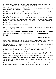My pastor was hesitant to answer my question. Finally, he did. He said, "The 'big minister' said, 'I have stopped sowing amongst thorns'."

"Thorns?" I asked. "Who are the thorns? When did we become thorns? He doesn't want to preach to us anymore?" I questioned.

"Yes," the messenger answered. "He will not come to this new church and he has given the reason. He does not sow among thorns anymore."

Nobody helped us when we were small. And I remember each encounter. That is why I try to help others in ministry. I love to encourage up and coming ministers and to tell them that they are going to make it. Nobody ever told me that. Even up till now, nobody tells me that I am going to make it. It is a great thing to be encouraged.

#### **6. Remembrance makes you kind.**

God told the Israelites to be kind to strangers just because they were once foreigners in Egypt.

#### **You shall not oppress a stranger, since you yourselves know the feelings of a stranger, for you also were strangers in the land of Egypt.**

# **Exodus 23:9, NASB**

I remember how I suffered under the repression of some lecturers in medical school. Many lecturers had only threats and warnings for their students.

I thought to myself, "If I was ever a lecturer I would be kind to the students and help them to pass their exams."

One day, however, I was chatting with one of my classmates and he said, "When I become a lecturer I will ensure that students suffer as much as I did."

I was amazed at his declaration. Could he not see what he was going through? Would he not remember the anguish that he experienced in this place?

Unfortunately, wicked people do not remember their hardships. Many wicked people simply cannot remember what it was like to be on the other side. God warns us in His Word to remember how we felt and to help others who are in a similar situation.

Perhaps you come from a very poor background. God expects you to reach out and help such poor people because you know what it feels like to be poor!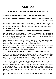# **Chapter 3**

# <span id="page-18-0"></span>**Five Evils That Befall People Who Forget**

# **1. PEOPLE WHO FORGET ARE CONSTANTLY DEMOTED.**

# **Pride goeth before destruction, and an haughty spirit before a fall.**

#### **Proverbs 16:18**

People fail exams because they do not remember important things. Can you remember when you did your geography examinations and were asked: What is the longest river in the world? What is the highest mountain in the world? What is the largest lake in the world?

#### **I Want to Be Promoted but I Cannot Remember My Geography**

But you could not remember the answers to any of these questions. You said that the longest river in the world was the River Jordan. You said that the highest mountain in the world was the Mount of Olives. You said that the largest lake in the world was the Sea of Galilee.

How could you pass your geography examinations when you could not remember that the longest river in the world is the Nile, and the highest mountain is Mount Everest and the largest lake in the world is the Caspian Sea?

Because you could not remember any of these things you could not pass your exams. And because you could not pass your exams, you could not be promoted. Everyone else went ahead whilst you stayed behind.

# **I Want to Be a Doctor But I Cannot Remember My Biology**

Then you wanted to become a doctor! But how could you become a doctor when you could not remember the answers to simple biology questions? You were asked: " Where is meat digested?" And you answered, "Meat is digested in the rectum." You could not remember that meat is digested in the stomach.

Then you were asked, "Give some examples of carbohydrates?" And you answered, "Fried Fish and pork chops." You could not remember the difference between carbohydrates and protein. Then you were asked, "Where can digestive enzymes be found?" And you answered, "Digestive enzymes are found in the fallopian tubes." With such answers you cannot expect to pass your biology exams. Your inability to remember important biological facts cost you your career in medicine.

Because of this, you could not be chosen for the science class and you never became a doctor.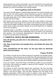Simply because you could not remember, you were excluded from the people who went ahead to become medical doctors. Today, you are in a lower social stratum because you could not remember your biology answers.

# **How Forgetting Leads to Demotion**

This same principle applies in spiritual things. Because you cannot remember the Word of God, you keep lowering yourself. Because you cannot remember those who helped you, you keep falling into the group of forgetful and accursed sons. You keep going lower in the ministry because you can't remember the things a minister must never forget.

Most people cannot trace the calamities of their life to their inability to remember. They often blame other things as the causes of their problems. But actually, many of the evils that befall Christians come about only because they fail to remember certain things. Indeed, few people attribute the evils that befall them to forgetting. This is how it happens:

Forgetting leads to grumbling, murmuring, discontentment, pride and a host of other evils. When these evils are established, they in turn lead to your destruction and demotion. Are murmuring, discontentment, bitterness and pride not the forerunners of destruction and demotion?

# **2. FORGETFUL PEOPLE BECOME MURMURERS.**

#### **How oft did they provoke him in the wilderness, and grieve him in the desert!**

**Yea, they turned back and tempted God, and limited the Holy One of Israel.**

#### **They remembered not his hand, nor the day when he delivered them from the enemy.**

# **Psalms 78:40-42**

The children of Israel are the starkest example of ungrateful and forgetful people. This example is there because we are all like that. We need deliverance from the sin of forgetfulness. Do not think that anything in the Bible is far-fetched and does not apply to you. That is the best way to make the Bible impractical and irrelevant.

If you are a pastor, see all the kings in the Bible as pastors and put yourself in their shoes. See yourself as capable of making all their mistakes. This will help you to learn about yourself.

The children of Israel murmured against God continually. Yet, they had been delivered from being slaves. They had been delivered from being second-rate citizens in the land of Egypt. They had been delivered from the whips of the Egyptian taskmasters. All this did not seem to register in their minds. Have the things that God has done in your life registered on your mind and heart?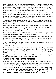After this the Lord took them through the Red Sea. Who had ever walked through the sea? Who has ever walked through the sea since then? He gave them a pillar of fire by night and a pillar of cloud by day. Yet all these did not register on the hearts of the Israelites. They turned against Moses at every opportunity. They murmured against the Most High and provoked Him to the uttermost.

With this forgetful attitude the children of Israel generated a frenzied crowd of fearful people. Panic whipped through the congregation and no one believed in Moses any longer. Forgetting the great things God had done, led to the historic failure of God's people to enter the Promised Land.

The children of Israel complained about many different things. Nothing seemed to satisfy them. They turned against God who had blessed them and given them many precious things.

Because murmuring emanates from an evil spirit, there is a point at which it does not even make sense. It is a repeated act of rebellion against a person. It is anointed from Hell and fully controlled by an evil being. Avoid people who murmur like you are avoiding the plague!

Notice the complaints of the children of Israel. Their complaints, if analyzed, look almost like the senseless gibberish of crazed monkeys.

"We remember the fish, which we did eat in Egypt freely; the cucumbers, and the melons, and the leeks, and the onions, and the garlick: But our soul is dried away: there is nothing at all, beside this manna, before our eyes" (Numbers 11:5-6).

What else would a slave desire more than freedom from slavery? And yet this benefit seemed not to register on their minds. They seemed to suffer from amnesia of a sort.

Notice how irrational and ridiculous these grumblings were: they complained about not having garlic, onions and leeks! Don't you think any present-day prisoner would prefer to be set free from prison than to have a daily supply of garlic?

Every prisoner in the world would gladly accept freedom if they never eat garlic again! Please do not let forgetfulness lead you to madness!

#### **3. PEOPLE WHO FORGET ARE REJECTED.**

Forgetting led to murmuring and murmuring led to God's rejection. God will reject you when you complain. It is important to be thankful all the time. Giving thanks is one of the things that help you to be filled with the Holy Spirit.

**…BE FILLED WITH THE SPIRIT; Speaking to yourselves in psalms and hymns and spiritual songs, singing and making melody in your heart to the Lord; GIVING THANKS always for all things unto God and the Father in the name of our Lord Jesus Christ,**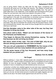# **Ephesians 5:18-20**

Just as giving thanks makes you filled with the Holy Spirit, complaining and murmuring will cause you to be filled with demons. The children of Israel were possessed with devils as they complained against Almighty God. The spirit of death killed them in the wilderness. If the Israelites had remembered all the great things the Lord had done, they would have stayed in the grace of God.

Jesus taught this principle to His disciples. He wanted them to remember what had happened in the past. He wanted them to remember previous miracles and breakthroughs. He wanted them to remember the whole picture.

When He spoke of the leaven of the Pharisees, the disciples thought He meant real bread. They did not remember the miracle of the five thousand loaves. If they had remembered this miracle, they would not have thought that his comment was referring to real bread.

**And the disciples came to the other side of the sea, but they had forgotten to bring any bread.**

**And Jesus said to them, "Watch out and beware of the leaven of the Pharisees and Sadducees."**

**They began to discuss this among themselves, saying, "He said that because we did not bring any bread."**

**But Jesus, aware of this, said, "You men of little faith, why do you discuss among yourselves that you have no bread?**

**"Do you not yet understand or REMEMBER the five loaves of the five thousand, and how many baskets full you picked up?**

**"Or the seven loaves of the four thousand, and how many large baskets full you picked up?"**

#### **Matthew 16:5-10, NASB**

#### **He Forgot**

Without realizing it, I have often rejected people who complained and murmured about their work. I prefer to keep an employee who is incompetent but has a good attitude. As soon as people complain, they become unattractive. It is actually repulsive to have a complaining and discontented person around you.

I remember a brother who rebelled against me and said many unpleasant things. He became a most repulsive individual to me. As I heard of the various things that he said about me, I could only liken him to a bad dream! He used to love me and look up to me but, he had turned around a hundred and eighty degrees and now called me the devil. He hurled insults against those who led him to Christ.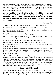He felt he was not being treated fairly and complained about his conditions of service. He spoke about how little money he was earning, and complained that he would have been earning millions if he had stayed in his former job. Doesn't that sound familiar? Doesn't it sound like the children of Israel claiming they would have been better off in Egypt?

#### **And the children of Israel said unto them, Would to God we had died by the hand of the LORD in the land of Egypt, when we sat by the flesh pots, and when we did eat bread to the full; for ye have brought us forth into this wilderness, to kill this whole assembly with hunger.**

# **Exodus 16:3**

This fellow had forgotten how I had welcomed him into full-time ministry.

He had forgotten how he had said, "I will work for God, even if I am not paid."

He had forgotten the times of fellowship we enjoyed together and how we were like brothers from the same family.

He had forgotten how he loved listening to my tapes.

He had forgotten how he would lie down for hours soaking in messages from different camp meetings I had preached at.

It seemed he had forgotten how I had appointed him as a pastor.

He probably could not remember how I ordained him into the ministry.

He had forgotten how he had never been able to travel outside the country until I arranged for his first visa.

I do not think that I am harming someone when he comes to work in full-time ministry. I believe that full-time ministry is the greatest opportunity of a lifetime. If, however, the person feels it is a punishment, I would not like to continue inflicting hardships on the person.

After this fellow began his complaints and grumblings, our relationship was at the beginning of the end! It was only a matter of time before he was incompatible with what God was doing in my ministry. When the children of Israel began to complain against Moses, they became incompatible with the Promised Land vision. When you complain you will be rejected. This is what happened to God's people as they marched to the Promised Land. Only little children who did not understand and who could not complain entered the Promised Land.

#### **The Discontented Missionaries**

Some years ago, some missionaries I had sent to the mission field began complaining about various things. They would call one another and gossip about how they were not being treated fairly. Through no fault of the Missions Office,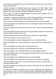one of them was separated from his wife and felt that his wife's trip to join him was being unduly delayed.

Another missionary complained about the routing of his wife's flight. Other missionaries joined in and became equally discontented about other issues. Different little issues became mountains of fodder for discussion.

After a while, the spirit of discontentment, murmuring and grumbling was rife amongst this team of missionaries.

I remember a meeting I had with them. They all seemed different from the people I had known. I wondered how they had become so forgetful so soon.

These young men had forgotten how I had helped them to come into ministry.

They had forgotten how I had flown them into international cities and set them up to start churches.

They had forgotten that they had never had to rent a house since they finished school.

They had forgotten that their daily bread was guaranteed, whether the church they pastored made enough money or not.

They had forgotten that cars were handed over to them on a silver platter.

They never needed to know the price of a car.

They had forgotten the times of fellowship and love I had had with them.

They had forgotten how I had visited them in their homes and become close to them.

They had forgotten my involvement in their personal lives.

They had forgotten how I would sit, chat and fellowship with them.

They had forgotten how I had helped them to choose marriage partners.

They had forgotten how I had encouraged and guided them in the ministry when they were in university.

They had forgotten how I helped them to have their weddings.

They had forgotten how I sent them on honeymoons and paid for everything.

They had forgotten that they did not need to know the price of a plane ticket - it was just bought for them.

They had forgotten how privileged they were to have been sent to countries they had never known.

As I sat at the meeting, I realized that my young missionaries had forgotten too many things too soon. They had become grumpy, disgruntled and discontented with the ministry and with me. It was as though another spirit had taken over their lives.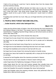I held on for as long as I could but I had to dismiss them from the mission field and from full-time ministry.

It was a painful and very difficult decision but there was no way out. I had no choice but to take the decision to dismiss them. These were beloved sons of mine and I knew that what I was doing would change their lives drastically. These soldiers would not be a part of what I was doing and I would march on without them.

Forgetting had cost them too much. May you not forget what the Lord has done in your life!

# **4. PEOPLE WHO FORGET BECOME DISLOYAL.**

#### **…Judas Iscariot, which also betrayed him…**

#### **Mark 3:19**

Judas was the all-time traitor of traitors. How did he become the most treacherous and disloyal follower of all time? The answer may lie in this important subject of remembrance. Forgetting important things makes you fail school exams as well as all the other tests of life.

Perhaps, Judas forgot many of the miracles that Jesus did.

He forgot how he was chosen from among hundreds of awestruck followers.

He forgot how he was privileged to sit with the Lord in private and to fellowship with deity.

He forgot how he had heard many things that no one had ever heard.

He forgot how he had listened to teachings that had never ever been recorded.

He forgot the breakfasts and lunches he had had with the Lord.

He forgot how he was chosen from among the twelve to handle money.

He forgot how Jesus had trusted him especially with a unique job He had given to no one else.

It seemed he had forgotten about the mansions promised in Heaven.

The fact that he was to have rewards in Heaven meant nothing to him.

Judas forgot about the frightening messages of Heaven and Hell.

Judas forgot about the rich man and Lazarus (people they actually knew and remembered) and how Jesus had told them that they were in Hell and Heaven.

Judas had forgotten the powerful messages that Jesus had preached.

Judas had forgotten about the amazing miracles Jesus had performed when he healed blind, deaf and dumb people.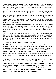You see, if you remember certain things they will restrain you when you are going the wrong way. If Judas had remembered the supernatural nature of Christ, he would have been hesitant to betray God. Judas did not remember how Jesus had raised people from the dead.

Perhaps if he had remembered how Jesus had raised Lazarus from the dead after four days, he would have dropped the whole idea of betraying the Son of God.

Perhaps a chill would have gone down his spine when he remembered that Jesus had actually predicted that he would die and rise again after three days.

Sadly, Judas' mind was fixated on the thirty pieces of silver he had been promised. Somehow, this fixation blacked out the memory of how supernatural and powerful Jesus really was.

What is your mind fixated on? Which memories have you blacked out? Have you forgotten something important? Could this lack of remembrance lead to your annihilation? Will you become like Judas and forget all that has happened? Can it be that you will forget all your experiences and not remember anything that was said?

What did Jesus say about Judas? He said, "It would be better if he had never been born." He did not say this about anyone, including the murderers and thieves He encountered. He said to the thief on the cross, "Today you will be with me in paradise." But He said about Judas, "It would have been better that you were not born!" Mercies!!

# **5. PEOPLE WHO FORGET REPEAT MISTAKES**

The Bible story of Belshazzar is an example of how a son repeats the sins of his father because he forgets. God does not tell us the stories of our fathers in order to disgrace or discredit them. Actually, none of us would like the stories of our low moments to be repeated publicly. However, God has allowed the mistakes of His servants to be written for our admonishing that we may not repeat them.

Unfortunately, history shows that people simply repeat the same mistakes over and over again. Will we stay away from the sins that He warns us about through our fathers?

When Daniel rebuked King Belshazzar (son of Nebuchadnezzar), he told him that he had not learnt humility even though his father had fallen through pride.

**Then Daniel answered and said before the king, Let thy gifts be to thyself, and give thy rewards to another; yet I will read the writing unto the king, and make known to him the interpretation.**

**O thou king, the most high God gave Nebuchadnezzar thy father a kingdom, and majesty, and glory, and honour:**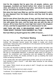**And for the majesty that he gave him, all people, nations, and languages, trembled and feared before him: whom he would he slew; and whom he would he kept alive; and whom he would he set up; and whom he would he put down.**

**But when his heart was lifted up, and his mind hardened in pride, he was deposed from his kingly throne, and they took his glory from him:**

**And he was driven from the sons of men; and his heart was made like the beasts, and his dwelling was with the wild asses: they fed him with grass like oxen, and his body was wet with the dew of heaven; till he knew that the most high God ruled in the kingdom of men, and that he appointeth over it whomsoever he will.**

**AND THOU HIS SON, O BELSHAZZAR, HAST NOT HUMBLED THINE HEART, THOUGH THOU KNEWEST ALL THIS;**

**But hast lifted up thyself against the LORD of heaven…**

**Daniel 5:17-23**

#### **The Pastors' Meeting**

One day, I had a meeting with some pastors on the third floor of our church building. We discussed several issues that related to loyalty and church government. There were many contributions to the discussion and the pastors felt free to share what they felt.

At a point, we discussed a particular situation in which a pastor had taken over and renamed a branch church. We discussed and condemned how he had painted over the old name and replaced it with a new name. Everyone agreed that this was an unacceptable behaviour. A particular pastor stood up and gave a speech. He condemned such treacherous acts and pledged his unflinching support for the ministry. He virtually promised to give up anything that would hinder his lifelong commitment.

A few months later, this same speech-giving brother came up to me and said, "I have decided to start a church." I was taken aback because he was already pastoring a church.

So I asked, "Which church are you going to start? I thought you were already pastoring a church."

Then he said, "God has led me to start a church."

I continued, "Is it a Lighthouse church or another church."

He answered, "Another church."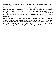I asked him, "What happens to the Lighthouse church you are pastoring?" But he did not answer.

The answer came several days later when he painted over the name, "Lighthouse Chapel International" and replaced it with a new name. It was surprising because this very pastor had shown such strong and vocal support for the ministry at the meeting. He had been part of the discussion that condemned the "stealing" of churches. Just like Belshazzar, he repeated exactly what someone ahead of him had done.

Let us all pray that God's grace will keep us from repeating the sins and mistakes of our fathers. God allows us to know the mistakes of seniors so that we stay away from them. We are not better than people ahead of us. Neither do we have any better motives nor prayer lives than anyone ahead of us. It is the grace of God that will keep us from evil. Pray that your Daddy's devil will not be your devil!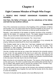# **Chapter 4**

# **Eight Common Mistakes of People Who Forget**

#### <span id="page-28-0"></span>**1. PEOPLE WHO FORGET DISHONOUR FOUNDERS AND FATHERS.**

#### **And Ham, the father of Canaan, saw the nakedness of his father, and told his two brethren without.**

#### **Genesis 9:22**

One of the commonest occurrences is the forgetting of the contribution of fathers and founders. Our Lord Jesus knew that He would be forgotten by the church, so He instituted the ritual of Holy Communion so that we would remember Him.

Recently, I was preaching to the leaders of student churches at the university. I called for the leader of a particular church. The leader stepped forward and I asked, "Do you know that I started the church you are pastoring?"

This pastor looked surprised and answered, "No, I never knew."

So I informed him about how I spent two and a half years of my university life praying, fasting and preaching till his church was established.

This Christian leader had no idea how I had been maligned and criticized for establishing his church. But such is the lot of fathers and founders. Their contribution is often forgotten. Unfortunately, in so doing, many set aside the ideals and vision the founders had.

One day, a brother who had set up a mass choir returned to his university campus to pay a visit. He was greeted at the door by an usher who, obviously, did not know that he was talking to one of the founders of what he was enjoying and managing. He was treated as a common stranger and ushered unceremoniously to the very back of the hall. Such is the lot of the founder!

Many churches do not remember their founders. The memory of the founder dims as the years go by. His name is pushed away and anything that reminds them of him is erased. New pastors want to remove the concept of the "Founder's Day". The new pastor wants the picture of the founder taken away.

The current pastor loves to be seen as the luminary who achieved everything on his own. Such people have forgotten the work that the founder did for the church to come into existence.

The work of a founder and the apostle is the most difficult job of all.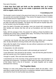Paul said of founders:

#### **I think that God hath set forth us the apostles last, as it were appointed to death: for we are made a spectacle unto the world, and to angels, and to men**

#### **1 Corinthians 4:9**

The founder's work is buried in the ground and many do not see it. Many founders are scarred and wounded individuals. They receive the largest amount of criticism and the least amount of appreciation.

The families of apostles and founders are not exempted from this treatment. They are often set aside and forgotten. The family may have paid an equally high price for the founder to lay the foundation he did.

Upon the death of founders and apostles, many are moved with compassion for their families and declare that they will set up foundations and trust funds for them.

Sadly, with the passage of time, the passion for setting up these foundations and mobilizing the money that is needed fades away. The family of the founder is left to fend for itself and to fight for survival.

#### **The Forgotten Founder**

I remember one founder who died and left behind little children and a pregnant wife. He also left behind a thriving ministry with many large churches.

Years after the death of her husband, she was without sustenance and help from the church he had founded.

In desperation, his wife remarried.

One day, I asked, "Who did the founder's wife eventually get married to?"

I must admit that I was stunned by the answer. I was told that this great founder's wife had married one of her husband's servants.

I thought to myself, "She must have been desperate."

I remembered one of the churches of this great founder that I had preached in. It was large and prosperous. I wondered if these large churches could not take care of this widow. Such is the lot of founders - so easily forgotten and so easily dismissed from memory.

# **The Forgotten Ideals**

Perhaps it is even more painful when the founder's ideals are set aside. I once read about a great founder and found no comparison between what he believed in and what the church he had founded was practising.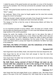I visited the grave of this great founder and was taken on a tour of the founder's home by the caretaker. One of the last comments the caretaker made was indeed very sad.

He said, "This great founder would be very sad if he rose from the dead today."

"Why?" I asked.

He continued, "Most of the vices he fought against are the ones that currently plague the church he founded."

Sadly, the founder's ideals had been set aside. Even though this founder's name is certainly not forgotten, his ideals and vision have been set aside.

The danger of all this is that the curse of dishonouring fathers will follow the current leaders.

#### **Ham Forgot**

It is an important principle to honour fathers. Ham, the black son of Noah, broke this principle and dishonoured his father. It is the curse that followed that governs large sections of the world's population.

Across the world, the inability of the black man to rise above the state of servanthood can only be explained by a curse. Others may differ in their view and I can handle that, but I find it difficult to explain the state of Africa and black people, in general, except by interpreting it as the curse of Ham. This severe curse came about when a young man forgot the contribution his father had made to his existence.

#### **And Ham, the father of Canaan, saw the nakedness of his father, and told his two brethren without.**

# **Genesis 9:22**

Ham forgot that it was his father, Noah, who heard from God and obeyed the call.

Ham forgot that he did not know God well enough to hear the voice that commanded to build an ark.

Ham forgot that if his father had not built the ark he would have drowned along with the rest of the world.

**By faith Noah, being warned of God of things not seen as yet, moved with fear, prepared an ark to the saving of his house; by the which he condemned the world, and became heir of the righteousness which is by faith.**

#### **Hebrews 11:7**

Ham forgot that God had judged Noah to be a righteous man. "But Noah found grace in the eyes of the Lord" (Genesis 6:8). Ham forgot that he was alive only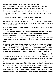because of his "drunken" father whom God found righteous.

Ham forgot that every man of God has a right to be naked in his own tent.

Ham forgot that he himself was, sometimes, naked in his own tent.

He forgot too many things and he paid dearly for his lack of remembrance.

Today, the black man can scarcely rise out of the waters of worldwide despisement.

# **2. PEOPLE WHO FORGET BECOME DISOBEDIENT.**

Jeroboam was chosen by the Lord to replace Solomon. Jeroboam, a "nobody", was picked to replace the ruling lineage of David and Solomon; the two greatest kings of Israel. This honour was done to Jeroboam because Solomon had gone after idols and worshipped false gods.

#### **And Ahijah caught the new garment that was on him, and rent it in twelve pieces:**

**And he said to JEROBOAM, Take thee ten pieces: for thus saith the Lord, the God of Israel, Behold, I will rend the kingdom out of the hand of Solomon, and will give ten tribes to thee:**

**(But he shall have one tribe for my servant David's sake, and for Jerusalem's sake, the city which I have chosen out of all the tribes of Israel:)**

**Because that they have forsaken me, and have worshipped Ashtoreth the goddess of the Zidonians, Chemosh the god of the Moabites, and Milcom the god of the children of Ammon, and have not walked in my ways, to do that which is right in mine eyes, and to keep my statutes and my judgments, as did David his father.**

# **1 Kings 11:30-33**

Somehow, when Jeroboam became the king, he forgot why he was chosen in the first place. He forgot why God had chosen him as the replacement of the lineage of David and Solomon.

He forgot the most important thing and disobeyed the Lord in exactly the same way Solomon had. Notice the passages, which reveal both the privileged calling of Jeroboam and the subsequent repetition by Jeroboam of Solomon's sins.

#### **And JEROBOAM said in his heart, now shall the kingdom return to the house of David: If this people go up to do sacrifice in the house of the Lord at Jerusalem, then shall the heart of this people**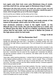**turn again unto their lord, even unto Rehoboam king of Judah, and they shall kill me, and go again to Rehoboam king of Judah.**

*Whereupon the king took counsel, and made two calves of gold, and said unto them, It is too much for you to go up to Jerusalem: behold thy gods, O Israel, which brought thee up out of the land of Egypt.*

And he set the one in Bethel, and the other put he in Dan.

And this thing became a sin: for the people went to worship before the one, even unto Dan.

**And he made an house of high places, and made priests of the lowest of the people, which were not of the sons of Levi.**

**And Jeroboam ordained a feast in the eighth month, on the fifteenth day of the month, like unto the feast that is in Judah, and he offered upon the altar. So did he in Bethel, sacrificing unto the calves that he had made: and he placed in Bethel the priests of the high places which he had made.**

**1 Kings 12:26-32**

#### **Will You Remember God?**

Sometimes, you wonder if Christians can stand to be blessed. Can they ever handle the blessings that God has? I remember a Christian brother who was elevated to the high offices of government. The Lord blessed him with prosperity and power.

My first contact with him was several years before when we had a crusade in one of the cities of Ghana. We had to relate with him because he was the president of the Scripture Union fellowship of that town. We had to borrow some equipment from him. I remember how he came for the crusade and I remember his attitude. We felt like immature zealots in his presence. We wilted under his strict, moral, Christian eyes!

Years later, whilst watching television, I noticed that he had been promoted to one of the highest political positions in the country. I said to myself, "Wow, a Christian is deep into politics…! I hope he can stay on course with the Lord." But that was not to be. The years went by and this fellow backslid terribly. It became apparent that he had put aside his faith.

Unfortunately, he also became ill and died suddenly. One day, I spoke to a pastor who ministered to him before he died. This pastor told me how this Christian politician had come to his house in the middle of the night demanding that the gate be opened to him. The Christian politician was now terminally ill and knew he was dying. He had come to see the pastor in the middle of the night because he could not breathe and he could not sleep.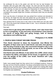He confessed his sins to the pastor and told him how he had forsaken his Christian wife and gone after other women. He cried and told the pastor how politics had even led him into occultism. Sitting in the pastor's home at one o'clock in the morning, he wept sore and asked for forgiveness for forsaking God. Alas, this man died a few days later. When I heard this story, I marvelled and considered how people forget their Christian commitment when they are elevated in this life.

Such was the story of Jeroboam who was picked from nowhere and elevated to the throne. He forgot the God who had picked him up and placed him on the throne. Unfortunately, Jeroboam disobeyed God at the first opportunity.

Paul declared that he knew how to stay close to God whilst poor and also when rich. This is the secret that Christians seem to lack - how to remember God when they are promoted.

Paul said,

**I know how to get along with humble means, and I also know how to live in prosperity; in any and every circumstance I have learned the secret of being filled and going hungry, both of having abundance and suffering need.**

**Philippians 4:12, NASB**

#### **3. PEOPLE WHO FORGET BECOME PROUD.**

**Then David returned to bless his household. And Michal the daughter of Saul came out to meet David, and said, how glorious was the king of Israel to day, who uncovered himself to day in the eyes of the handmaids of his servants, as one of the vain fellows shamelessly uncovereth himself!**

**And David said unto Michal, It was before the LORD, which chose me before thy father, and before all his house, to appoint me ruler over the people of the LORD, over Israel: therefore will I play before the LORD.**

#### **2 Samuel 6:20-21**

Sadly, many people forget how they came to be in privileged positions. However, this was not one of David's problems. He always remembered where the Lord had lifted him from. He knew that he was a "nobody" picked from looking after sheep and lifted to the throne of Israel. This made him grateful and worshipful even when his kingship was established.

#### **Ousted Politicians**

Unfortunately, many Christians forget where they came from.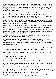I have needed help from the government on many occasions. Sadly, these powerful politicians had no time for an insignificant priest like me. Even Christians forget their heritage and place politics above their Christian faith. An interesting development, however, has been the turnaround in attitude by some of these people after leaving office.

Somehow, these politicians seem not to "know" you when they are in power. Yet they become so chummy and friendly when they are out of office and have lost their glory. A true friend is someone who will remember you when he is up there. Sadly, most people forget others when they are blessed.

I have had powerless past politicians ringing me up and chatting with me as though we were the fondest of friends. They called me by my first name and claimed that we were the best of buddies.

When I have met them on flights and in other settings I always got the same response. I have been invited to lunches and dinners by unseated politicians.

I never honoured any of these invitations because I did not regard these people as genuine friends. If they were genuine friends they would remember me when they were in the pomp and splendour of their offices.

God has shown me that there is no need to suck up to pretentious politicians. He will take care of His work with or without their help.

**David said moreover, The LORD that delivered me out of the paw of the lion, and out of the paw of the bear, he will deliver me out of the hand of this Philistine. And Saul said unto David, Go, and the LORD be with thee.**

**1 Samuel 17:37**

# **4. PEOPLE WHO FORGET CAN EASILY GET DIVORCED.**

Unfortunately, many people forget the words they spoke to each other during their marriage ceremony.

"Till death us do part," they say boldly.

They declare, "For better or for worse."

Others vow, "In prosperity and in adversity we shall live together."

Many pronounce, "Many waters cannot quench our love. Neither can the floods drown our devotion."

They assert, "If any man will break up this union, it will be Satan."

Yet many of us try to break up this union. We have forgotten that we said that it would be Satan who would attempt to break up the union. Does this mean that if you try to break up your marriage you are Satan? Forgive!

Forgetting what you have said can go against you greatly. Most couples do not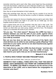remember what they said to each other. Many wives forget how they proclaimed, "From this day forward, I shall love you and I shall give myself to you." Years later, when they are in bed with their husbands, they forget how they said, "I shall give myself to you."

Now, they do not give themselves to their husbands.

When they exchange rings, they say, "Let this ring be a symbol of our love for eternity." Unfortunately, the ring has become a symbol of sadness, bondage and quarrels.

One of the main reasons for divorce is forgetting what we said to each other. Most of the time the promises are made in our youth. By our middle age, we have forgotten what we said in our youth.

God is against those who do not remember what they said in their youth. The Bible refers to the wife as the "wife of your youth". In other words, she is the woman you liked when you were young, zealous and full of love. The Scripture urges you to remember the words of your covenant.

**Yet you say, "For what reason?" Because the LORD has been a witness between you and the wife of your youth, against whom you have dealt treacherously, though she is your companion and your wife by covenant.**

**But not one has done so who has a remnant of the Spirit. And what did that one do while he was seeking a godly offspring? Take heed then to your spirit, and let no one deal treacherously against the wife of your youth.**

**For I hate divorce, says the LORD, the God of Israel, "and him who covers his garment with wrong, " says the LORD of hosts. "So take heed to your spirit, that you do not deal treacherously."**

**Malachi 2:14-16, NASB**

# **5. PEOPLE WHO FORGET BECOME PRESUMPTUOUS.**

And Moses said unto Korah, Hear, I pray you, ye sons of Levi:

**SEEMETH IT BUT A SMALL THING UNTO YOU, THAT THE GOD OF ISRAEL HATH SEPARATED YOU FROM THE CONGREGATION OF ISRAEL, TO BRING YOU NEAR to himself to do the service of the tabernacle of the LORD, and to stand before the congregation to minister unto them?**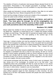The rebellion of Korah is of particular note because Moses rebuked Korah for his presumption. Presumption is "the arrogant assumption of privilege". When a person becomes presumptuous, he is too confident in a way that shows a lack of respect.

When people are fortunate to occupy certain positions, they often do not realize what a privilege they have. Moses recognized this sin in Korah.

Korah had the privilege of being a Levite and a leader of the congregation. Yet he spoke the rudest words to Moses, the servant of God.

#### **They assembled together against Moses and Aaron, and said to them, "You have gone far enough, for all the congregation are holy, every one of them, and the Lord is in their midst; so why do you exalt yourselves above the assembly of the Lord?**

## **Numbers 16:3, NASB**

Moses asked him whether he did not cherish the honoured position of a leader. He asked him, "Seemeth it a small thing to you?" I realize how people consider privileges as small things. They take them for granted and speak rudely to people who are way above them. This rude speaking is the cardinal sign of the presumptive spirit.

## **The Confident Pastor**

Years ago, I noticed a brother who had the potential for being in the ministry. His pastor did not recognize his calling, but I did. In fact, his pastor told me personally that he was amazed that I could think of making somebody like that into a pastor. But I gave him an opportunity to be in the ministry. Then I trained him and appointed him as a pastor.

After some years, this brother became established in the ministry. Then one day, he dropped a bombshell and told us that he was leaving. He left our church, planted a church nearby, persistently invited our church members to leave us and join him; and virtually built his church by dividing ours. Soon, his new church consisted of many of our former members who had "migrated" to his new church. As you can imagine, this led to some conflict.

I had several exchanges with this fellow, some of which were not pleasant. One day, during one of our exchanges, he pointed out to me that what I was complaining about was unavoidable and that he could not help it if our church members were being attracted to his new church (which he had planted not far from ours). In other words, I needed to cure my insecurities!

This dear pastor pointed out to me that I myself had planted churches all over the place without apparent regard for their closeness to other churches. He also pointed out to me that I had started churches with people who were members of other churches.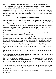He went on and put a direct question to me, "Why do you contradict yourself?"

Then he advised me to come to terms with the realities of pastors leaving my church; otherwise I would fight with everyone that ever left.

I was amazed as he continued, "You appointed me as a pastor and I honoured that appointment with my sweat and money. I owe you nothing further." He finally warned me saying, "I hold you personally responsible for anything that happens to my marriage."

## **He Forgot but I Remembered**

I thought over these sayings for a long time. I considered how prosperous and wealthy he had become over the years and how he confidently rebuked and advised me today.

But I also remembered how years ago this brother (who was now rebuking me) was an impoverished, illegal immigrant who could not afford his own lunch. Now it seemed a small thing to him to have been lifted from his former state to where he currently was.

He could not remember his starting point; that is why he spoke confidently and in a way that showed a lack of respect (presumption).

You see, we all start from humble beginnings. I started my life and ministry from a very low point. What matters is not how low your starting point was. What matters is how well you can remember your lowly starting point! I realized that this brother had forgotten that he might never have become a pastor if he had not met me.

Perhaps, he had forgotten how I encouraged him to go into the ministry.

It seems he had forgotten how I chose him and sent him to a particular country, which he knew not.

He had forgotten that he would never have had the wife he had if I had not told her to marry him.

I remembered when his wife asked me about him. She did not want to marry, and especially she did not want to marry him.

But I convinced her and told her that he was a good person. Before he married her, I had such authority over his wife and she would have done anything I told her. In those days, the words and advice I gave to her were like the oracles of God. Whatever I said was what mattered.

Through his marriage which I sponsored, this brother had now become a member of a well-known family and enjoyed the privileges, financial wealth and inheritance of that family.

It seemed that all these had been forgotten by this brother who now said he owed me nothing!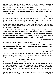Perhaps I would have to join Paul in saying, "I do not say to thee how thou owest unto me even thine own self besides." This brother said that he owed me nothing. But Paul said to Philemon that he owed him his very life.

#### **I Paul have written it with mine own hand, I will repay it: albeit I do not say to thee how THOU OWEST UNTO ME EVEN THINE OWN SELF besides.**

## **Philemon 19**

It is always interesting to watch the sons of Korah rebuke their fathers. They love to put the fathers in their place. It seems a small thing to them. All that their fathers have done for them seems to them like nothing.

It is only because people forget where they were and who they were that they speak great swelling words of arrogance. Please do not repeat these errors. They are written for our example.

**And Moses said unto Korah, Hear, I pray you, ye sons of Levi: Seemeth it but a small thing unto you, that the God of Israel hath separated you from the congregation of Israel, to bring you near to himself to do the service of the tabernacle of the LORD, and to stand before the congregation to minister unto them?**

**Numbers 16:8-9**

## **6. PEOPLE WHO FORGET BECOME REBELLIOUS.**

## **And Samuel said, When thou wast LITTLE IN THINE OWN SIGHT, wast thou not made the head of the tribes of Israel, and the LORD anointed thee king over Israel?**

## **1 Samuel 15:17**

Saul did not remember to obey the Lord when he was lifted up. Samuel reminded him that he was nobody when God called and anointed him. Apparently, he had forgotten how little he was at the beginning.

## **The Wind is against You**

People rebel against those who set them up because they do not remember how they came to be where they are. I remember a brother who rebelled against his General Superintendent. He was sent to a foreign country to plant a church. After the church grew and became successful, this brother decided to dissociate himself from the church that sent him. I visited the General Superintendent and he spoke bitterly about this missionary.

I was amazed to hear that this brother had written him a nasty letter telling him to back off his ministry. He told his pastor that he owed him nothing and that he had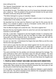done nothing for him.

The General Superintendent was very angry as he narrated the story of this ungrateful and forgetful son.

As we talked, he said, "This fellow was one of my house boys (domestic servants) who I raised up." Then he pointed to the ground and showed me the spot where this fellow would pray along with some others.

"This fellow belonged to a group of nobodies I helped.

I welcomed them into my house and gave them a place to pray in my living room. I trained them in the ministry," he said.

He described how he had used his influence to get visas for this young man (in Africa, it is a miracle to obtain a visa for a European country when you do not have a substantial or wealthy background).

Then he lifted his fingers and cursed the man, "The wind is against him."

Because this boy had forgotten where he came from and who had helped him, he received a curse that night.

One day, a year later, I happened to see this forgetful minister in a shopping mall. He had gone shopping with his wife and had filled his trolley with saucepans, frying pans and other household items. He was living happily ever after with his wife, far away from his angry General Superintendent.

As soon as I saw him, I remembered the fingers that were lifted up and the curse that the wind was against him.

And it came to pass that the wind was indeed against him! As time went by, the wind dismantled his church and his congregation scattered! I would meet his prized members and financiers and they would tell me they were no more with him.

This same wind blew him into adultery and obviously destroyed his marriage. The wind continued to blow until it had blown away his wife and children. The wind blew him out of the country to which he had been sent. The wind blew him over the seas and far away into obscurity. This is the wind that blows the forgetful and rebellious ones away!

## **7. PEOPLE WHO FORGET BECOME SECOND-RATE MINISTERS.**

Remembering what you have been through greatly improves your preaching and writing skills. Many people are boring preachers because they never give us real life accounts of what God has taken them through.

It is the ability to remember that makes the difference between a good preacher and a bad one. You will be surprised at how attentive the congregation becomes when you start to tell them a real life story.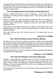The Apostle Paul remembered his experiences in great detail. He would often tell the stories to anyone who would listen. In his letters, he described his background in great detail. He narrated his experiences and even remembered the different emotions of each season.

## **Paul Tells Agrippa about the Damascus Road Experience**

And as I punished them often in all the synagogues, I tried to force them to blaspheme; and being furiously enraged at them, I kept pursuing them even to foreign cities.

While so engaged as I was journeying to Damascus with the authority and commission of the chief priests, at midday, O King, I saw on the way a light from heaven, brighter than the sun, shining all around me and those who were journeying with me.

And when we had all fallen to the ground, I heard a voice saying to me in the Hebrew dialect, "Saul, Saul, why are you persecuting Me? It is hard for you to kick against the goads."

And I said, "Who are You, Lord?" And the Lord said, "I am Jesus whom you are persecuting."

## **Acts 26:11-15, NASB**

#### **Paul Tells the Galatians about His Early Ministry**

But when God, who had set me apart even from my mother's womb and called me through His grace, was pleased to reveal His Son in me so that I might preach Him among the Gentiles, I did not immediately consult with flesh and blood, nor did I go up to Jerusalem to those who were apostles before me; but I went away to Arabia, and returned once more to Damascus.

Then three years later I went up to Jerusalem to become acquainted with Cephas, and stayed with him fifteen days.

## **Galatians 1:15-18 (NASB)**

## **Paul Tells the Philippians about His Upbringing**

Although I myself might have confidence even in the flesh. If anyone else has a mind to put confidence in the flesh, I far more: circumcised the eighth day, of the nation of Israel, of the tribe of Benjamin, a Hebrew of Hebrews; as to the Law, a Pharisee; as to zeal, a persecutor of the church; as to the righteousness which is in the Law, found blameless.

But whatever things were gain to me, those things I have counted as loss for the sake of Christ.

## **Philippians 3:4-7 (NASB)**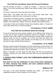## **Paul Tells the Corinthians about His Personal Problems**

Are they servants of Christ? — I speak as if insane — I more so; in far more labors, in far more imprisonments, beaten times without number, often in danger of death.

Five times I received from the Jews thirty-nine lashes.

Three times I was beaten with rods, once I was stoned, three times I was shipwrecked, a night and a day I have spent in the deep.

I have been on frequent journeys, in dangers from rivers, dangers from robbers, dangers from my countrymen, dangers from the Gentiles, dangers in the city, dangers in the wilderness, dangers on the sea, dangers among false brethren;

I have been in labor and hardship, through many sleepless nights, in hunger and thirst, often without food, in cold and exposure."

## **2 Corinthians 11:23-27, NASB**

## **Paul Tells the Corinthians about His Feelings**

For we do not want you to be unaware, brethren, of our affliction which came to us in Asia, that we were burdened excessively, beyond our strength, so that we despaired even of life; indeed, we had the sentence of death within ourselves so that we would not trust in ourselves, but in God who raises the dead; who delivered us from so great a peril of death, and will deliver us, He on whom we have set our hope. And He will yet deliver us,

## **2 Corinthians 1:8-10, NASB**

Become a better preacher! Remember your life's experiences and share them! Do not think that your life is uneventful and boring. Do not think that you have no interesting life experiences to share. That is a deception.

Begin to remember and talk about the little things that God has brought you through. I promise you; your ministry will come alive and your preaching will be anointed!

#### **8. PEOPLE WHO FORGET LACK THE COMPASSION NEEDED FOR MINISTRY.**

**But when he saw the multitudes, he was moved with compassion on them, because they fainted, and were scattered abroad, as sheep having no shepherd.**

#### **Matthew 9:36**

The story of the Good Samaritan illustrates this reality. I am certain that forgetfulness leads to a lack of passion for true ministry.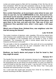Levites and priests passed by filled with the knowledge of God. But they did not have compassion. When the man with compassion came by, he was moved and saved the brother who was half-dead. This world is half-dead, waiting for us to come and save them. We have the Gospel of Jesus Christ, the only hope of this world!

**But a certain Samaritan, as he journeyed, came where he was: and when he saw him, he had COMPASSION on him, And went to him, and bound up his wounds, pouring in oil and wine, and set him on his own beast, and brought him to an inn, and took care of him. And on the morrow when he departed, he took out two pence, and gave them to the host, and said unto him, Take care of him; and whatsoever thou spendest more, when I come again, I will repay thee.**

**Which now of these three, thinkest thou, was neighbour unto him that fell among the thieves?**

#### **Luke 10:33-36**

The modern inventions of television, radio, cassettes, CDs and the internet have made Scripture more available than ever before. Sadly, the increase of Scripture and the availability of this knowledge have not resulted in more of God's compassion. The compassion for souls is almost absent whilst the love for treasures and finances is at its peak!

The sad reality is that the evangelization of this world will not be accomplished without compassion. But how can we have compassion when we do not remember what it is like to almost go to Hell?

#### **Paul Remembered**

#### **Brethren, my heart's desire and prayer to God for Israel is, that they might be saved.**

## **Romans 10:1**

The Apostle Paul was moved with compassion because he remembered people who were just like him. He remembered his own relatives who lived in darkness. He remembered how he was almost not saved himself. At a point, he wished he could kill himself so that they would be saved. "I say the truth in Christ, I lie not, my conscience also bearing me witness in the Holy Ghost, That I have great heaviness and continual sorrow in my heart.

*For I could wish that myself were accursed from Christ for my brethren*, my kinsmen according to the flesh" (Romans 9:1-3).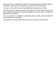Having the kind of compassion needed for ministry goes along with the ability to remember. People have no compassion because they do not remember.

One day, I met a millionaire who had established a large prisons ministry.

He told me how he had been thrown into prison for several years and then had been released miraculously. After being released, this man could not forget his experience in the prison.

The Lord used him to establish a nationwide prison ministry, which touched the lives of thousands of prisoners.

God expects you not to forget what you have seen, heard and experienced.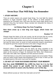# **Chapter 5**

## **Seven Keys That Will Help You Remember**

## **1. STUDY HISTORY.**

There are certain reasons why people forget things. You must fight the natural tendency to forget important things. As the children of Israel prepared to experience the Promised Land, God knew that they would forget almost every important thing they had learned. Moses narrated and rehearsed the history of their journey to them.

## **Let History Keep You from Forgetting**

#### **Now there arose up a new king over Egypt, which knew not Joseph.**

## **Exodus 1:8**

Pharaoh forgot the history of his own country. He did not know that his country would have been wiped out if it had not been for the good works of Joseph.

Yet, he forgot who the Israelites were and began to persecute them. Perhaps if he had read his history book, he would not have persecuted Joseph's descendants. He repaid the good that Joseph had done to the nation of Egypt with evil.

## **Pharaoh's Expensive Forgetfulness**

Pharaoh's failure to read history cost him dearly. By being ungrateful to the Israelites, he sowed the seeds of the destruction of Egypt. God stepped in and wiped out the economy of Egypt. He destroyed their farms, their infrastructure, their water, their cattle, their vegetation and their personal comforts.

I think that history is one of the most important subjects ever to be studied. Please read your history books! Please read biographies of men of God. In them you will find great lessons of life which must never be forgotten.

## **2. DO NOT LET YOUR SUCCESSES DESTROY YOUR MEMORY**

## **But thou shalt REMEMBER the LORD thy God: for it is he that giveth thee power to get wealth, that he may establish his covenant which he sware unto thy fathers, as it is this day.**

## **Deuteronomy 8:18**

Moses defined success as "when thou hast eaten and art full".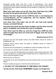Successful people suffer most from a lack of remembrance. They cannot remember how they came to be where they are. Like the prophet he was, Moses warned them about specific blessings and the tendency to forget the Lord's input into their lives.

**When thou hast eaten and art full, then thou shalt bless the LORD thy God for the good land which he hath given thee.**

**Beware that thou forget not the LORD thy God, in not keeping his commandments, and his judgments, and his statutes, which I command thee this day:**

**Lest when thou hast eaten and art full, and hast built goodly houses, and dwelt therein;**

**And when thy herds and thy flocks multiply, and thy silver and thy gold is multiplied, and all that thou hast is multiplied;**

**Then thine heart be lifted up, and thou forget the LORD thy God, which brought thee forth out of the land of Egypt, from the house of bondage;"**

## **Deuteronomy 8:10-14**

Everyone who has built goodly houses and dwelt therein should be careful of forgetting the Lord.

Everyone whose money (silver and gold) is multiplied should be careful of forgetting the Lord.

Everyone who has prospered is a candidate for pride and neglect of the Lord.

Do not ask me to explain how this problem comes about.

It is just a known fact that blessings and prosperity make people forget God. That is why it is easier for a camel to pass through the eye of a needle than for a rich man to enter the kingdom of God.

What must you do about it?

Just decide to be extra God-fearing and extra spiritual when you have all these things.

Pray for humility and grace to avoid this all-too-familiar trend!

## **3. DO NOT LET THE PASSAGE OF TIME MAKE YOU FORGET.**

## **Yet did not the chief butler REMEMBER Joseph, but forgat him.**

**Genesis 40:23**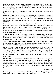Another reason why people forget is simply the passage of time. When the chief butler was in prison, he was helped greatly by Joseph. But he forgot Joseph when he was released. Even though he had been helped in prison, he forgot about Joseph in his freedom.

I have watched how people forget where they came from. As the years have gone by, they need to be reminded of their beginnings.

At different times, the Lord used me to start different fellowships, groups and churches. Sometimes I would hand over the group to a leader and leave them for some time. Invariably, they forgot me. They forgot how they began and they forgot about me. With the passage of time, they did not even want my involvement anymore.

I remember one particular fellowship I started and allowed to run for some time. Later on, I came back to them and explained that I wanted to take up the leadership of the group again. After a series of discussions, I sensed that my leadership was not welcome anymore so I abandoned the idea. I reflected on the turn of events. As I thought over the situation, I considered how people easily forget where they come from.

These people had forgotten that they did not even know each other before I had pulled them together and introduced them to one another. In addition, they had forgotten that none of them had had a vision for such a fellowship. I had the vision and invited them to participate.

Also, they had forgotten that all the activities they currently engaged in were things that I had instituted. They had forgotten how associating with me had led them to enjoy the relationships they now cherished.

But such is the lot of a founder. He must be prepared to be forgotten and set aside. This is the reason why people hold on to leadership positions until they die. They fear to hand over their prized vision to men who forget. The butler forgot Joseph. Many people forget those who have been real spiritual blessings to them.

## **4. RECOGNIZE THE HAND OF GOD IN EVERYTHING THAT HAPPENS.**

"But hast lifted up thyself against the Lord of heaven; and they have brought the vessels of his house before thee, and thou, and thy lords, thy wives, and thy concubines, have drunk wine in them; and thou hast praised the gods of silver, and gold, of brass, iron, wood, and stone, which see not, nor hear, nor know: and the God in whose hand thy breath is, and whose are all thy ways, hast thou not glorified:"

## **Daniel 5:23**

Many people do not understand why or how they are blessed. They just enjoy the blessings but do not understand how they are acquired.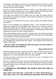For instance, most Africans do not know how Europe was built. They have no idea how a clean and orderly society is created. They love to go to these Western countries and live there if possible.

But they do things that destroy their own nations. They fight against the very things that create what they want. They oppose decisions that will bring order, cleanliness and all the other things that the Western world has.

They reject the practical kind of leaders that can create the Western type of environments and choose impractical, ceremonial and handsome men who know little about leadership!

They simply do not understand how clean, orderly, modern and wealthy societies are created.

Many do not understand how leadership works. I have concluded that most people just choose the wrong leader. They simply do not know the type of leadership qualities that are needed to take us out of squalor. The radical, strong leaders who are needed to move large populations of undeveloped societies into prosperity are simply not chosen through elections.

Often, smooth talking, "please everyone," traditional and "nice" people are chosen by undeveloped societies because the people like their approach. Unfortunately, such people do not bring true advancement.

Similarly, Christians do not know how they come to be blessed. Many believers do not understand why certain things even happen. They forget that God holds their destiny in His hands.

## **…But you have not praised the God who gives you the breath of life and controls your destiny!**

## **Daniel 5:23-24 TLB**

Belshazzar praised the gods of gold and of silver, wood and stone. But he did not honour the God who had really lifted him up. The prophet Daniel rebuked Belshazzar for not remembering the One who really mattered.

He holds our breath in His hand and He controls all our ways. He therefore is the source of all our blessings.

How can we forget the one who controls everything about our lives? We cannot live a day longer than He allows. We cannot do anything that He does not allow. He's got the whole world in His hands. We must not forget the hand of God which rules in our affairs.

## **5. CONTINUALLY RECOGNIZE THE PEOPLE GOD HAS USED IN YOUR LIFE.**

**And Laban said unto him, I pray thee, if I have found favour in thine eyes, tarry: for I have learned by experience that THE LORD**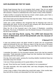## **HATH BLESSED ME FOR THY SAKE.**

## **Genesis 30:27**

People forget because they do not recognize God's vessel. They do not realize that they are where they are because God blessed them through their association with someone. A failure to understand this is the cause of many of life's disasters.

It takes humility to recognize that God has chosen certain people, given them a call and favoured all those who help their cause.

God chose Israel and has blessed all those who help that nation. There is nothing you can do about God's choices.

Laban was a wise unbeliever who recognized that his blessings had come by associating with Jacob. He did not want to part company with Jacob because he sensed that the blessing came by this association.

When the Ark of the Covenant was in the house of Obededom, everything flourished. The house of Obededom was fully blessed because of the presence of the Ark of the Covenant.

#### **And it was told king David, saying, The LORD hath blessed the house of Obed-edom, and all that pertaineth unto him, because of the ark of God…**

## **2 Samuel 6:12**

A wise and spiritual person will attach himself to people who are recognizably called and favoured by the Lord. What you need is to tap into some of the grace given to that person. People forget how they were lifted from the depths to great heights by relating with a particular person.

#### **Two Forgetful Associates**

I remember the pastor of a five thousand member church who had two powerful associates. These associate ministers forgot how their destinies had changed by associating with their senior pastor.

One day, their senior pastor, sensing the mounting rebellion transferred these two associates away from himself.

I met one of these associates and he spoke bitterly of his transfer.

He said, "Even that the word 'transfer' was applied to me is preposterous."

The other associate, who was equally bitter, said many derogatory things about his senior pastor.

I knew it was a matter of time before they would both resign. A few months later, they both left the ministry and dissociated from their senior pastor.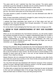The years went by and I watched how their lives evolved. The senior pastor continued to go from strength to strength and his ministry became the largest in the city. Sadly, though, the associates seemed to wither away.

One of them tried to start a church, but could not get more than five members to join him. His church never grew out of the living room of his home.

The other became a pastor of another church, but was dismissed soon after for bad behaviour.

Both of these associates continued to struggle for years moving from one job to another and never amounting to anything.

I realized that these associates had moved out of their place and had not recognized how God had blessed them through association. Of course it takes humility to even recognize this truth.

Do not be afraid of acknowledging that God has used a man to change your life!

## **6. GROW IN YOUR UNDERSTANDING OF WHY GOD BLESSES PEOPLE.**

When you do not understand why God blesses someone, you will quickly neglect the important principles he lives by. A deeper understanding helps you to have a better memory. That is why teaching deploys various techniques to induce a greater understanding of issues. The more you understand, the more you remember! An ancient Chinese proverb says, "You hear you forget; you see you remember; you do you understand."

## **Why King David was Blessed by God**

Perhaps King Solomon did not understand why God had blessed his father David. King Solomon remembered how God had been angry with his father for sleeping with somebody's wife and decided to avoid falling into his father's sins. Probably, this is why he married so many women. He did not want to commit adultery so he decided to marry every girl he saw. In the end, he had married one thousand women! This in itself is a miracle.

Maybe Solomon did not understand that David was ultimately a man after God's own heart who would never worship an idol. David wholly and passionately served God in spite of his human failings.

You may think that God was displeased with Solomon because of the numerous women he loved. Although these numerous women in his life caused problems, this was not the reason why God rejected Solomon.

The Bible tells us clearly that God rejected Solomon because he was not devoted to the Lord and worshipped idols in his old age. King David never worshipped idols and there was no mention of any such thing during his time.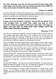**For when Solomon was old, his wives turned his heart away after other gods; and his heart was not wholly devoted to the LORD his God, as the heart of David his father had been.**

## **1 Kings 11:4, NASB**

The real secret behind King David's blessing was his wholehearted service to the living God. Perhaps, not understanding the secret behind someone's success will lead you to set aside the very thing which made him great.

## **7. DO NOT HAVE A REBELLIOUS BLACKOUT.**

**If thou count me therefore a partner, receive him as myself. If he hath wronged thee, or oweth thee ought, put that on mine account; I Paul have written it with mine own hand, I will repay it: albeit I DO NOT SAY TO THEE HOW THOU OWEST UNTO ME EVEN THINE OWN SELF BESIDES.**

## **Philemon 17-19**

Paul, like many fathers and apostles, would not bother to tell the young ones that they actually owed their entire lives to him. Philemon did not just owe him gratitude for some nice teachings. Philemon did not just owe him gratitude for some powerful prayers. He owed his very life to him! One day, Paul decided to point this out to Philemon because he was asking for a favour.

There are people who rebel against authority and therefore need to wipe out the memory of those who have helped them. When people do not want to show gratitude, they consciously black out the memory of good things done for them.

They selectively retain the things they want to remember and delete the memory of other things. They then try to attribute their success to other reasons, minimizing any reference to the one who actually helped them.

They say things like, *"I would have been here anyway. I would have been in the ministry anyway. I would have been ordained anyway. I would have had a better life elsewhere. I would have travelled to these countries anyway."*

They also say things like, *"I cannot say thank you forever. I have honoured you enough"*.

But Paul told Philemon, "You owe me your whole life besides." You see, there are things that affect all aspects of your life. The receiving of salvation is not just the receiving of a good teaching. It is the rescuing of an entire life!

To be in the ministry is not just another opportunity to occupy some social position. It is the highest privilege that can be given to a human being with unimaginable eternal rewards! There is nothing higher than working for the King of Kings.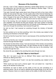## **Because of the Anointing**

One day, I was in Tulsa, Oklahoma attending a Winter Bible Seminar. At a point in the programme, the Lord told me to give an offering to Brother Hagin. I did not have a problem with that, so I agreed.

That night, Kenneth Hagin spoke about many things and told us how many million dollars he had earned that year. He also spoke about other financial blessings he had received from the Lord. When I heard his testimony, I became discouraged when I thought of the size of the offering I had for him. I then decided not to give him the offering at all. After all, I was sure that he did not need my money!

But in the morning, the Lord rebuked me severely about this and told me that I was ungrateful. He showed me that even though I had never spoken to Kenneth Hagin or received any physical benefit from him directly, all the blessings of my life had come through the anointing I had received through him.

He told me that I had received an anointing through the ministry of Kenneth Hagin.

He then pointed out to me that everything I did in the ministry was related to that anointing and therefore to Kenneth Hagin.

He told me that the house that I lived in was because of the anointing that He had given me.

He told me that the cars I had were available to me because of the anointing I had received through Kenneth Hagin.

He showed me that all the money I had was because of the ministry and anointing I had received through Kenneth Hagin. He also showed me that my ability to buy a ticket and fly to Tulsa, Oklahoma from Africa was due to the anointing I had received through this man.

My whole life was related to the anointing that came through one man.

## **Why Did I Want to Hold Back?**

Why did I not want to give him an offering? What reason could there be to withhold an offering from him?

What was I thinking about? Could I not see that everything was related to this person?

"When would you have such a chance again", the Lord asked me. I wept like a baby as He rebuked me about this.

Sometimes we want to black out the reality of how we owe everything to a particular person. We do not want to attribute all the great things of our life to one person. However, there is no need to black out the reality of what God has done.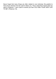Never forget that many things are often related to one individual. Be grateful to God and to whoever He has used to bless you. This is what Paul meant when he said to Philemon, "I don't want to remind you that YOU OWE YOUR VERY LIFE TO ME" (Philemon 19).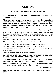# **Chapter 6**

## **Things That Righeous People Remember**

## **1. RIGHTEOUS PEOPLE REMEMBER IMPORTANT ANNIVERSARIES.**

**Thou shalt eat no leavened bread with it; seven days shalt thou eat unleavened bread therewith, even the bread of affliction; for thou camest forth out of the land of Egypt in haste: that thou mayest REMEMBER the day when thou camest forth out of the land of Egypt all the days of thy life.**

#### **Deuteronomy 16:3**

Most people just remember their birthdays. But there are days that are more important than your birthday. The day you were born again, the day you were filled with the Spirit, the day you were healed, and the day you were called to the ministry.

What about the day you came out of a near-death experience?

What about the day someone helped you out of a critical situation?

What about the day someone introduced you to an important person?

What about the day you were helped and the day of your promotion?

And what about the day Jesus was born, the day He died and the day He rose from the dead?

These are important days for Christians to remember.

## **2. PEOPLE WHO ARE RIGHTEOUS REMEMBER THEIR LOW POINTS AND HOW THEY CAME OUT OF THEM.**

**And REMEMBER that thou wast a servant in the land of Egypt, and that the LORD thy God brought thee out thence through a mighty hand and by a stretched out arm: therefore the LORD thy God commanded thee to keep the Sabbath day.**

## **Deuteronomy 5:15**

People who are righteous remember exactly who helped them out of their low points.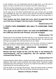In this Scripture, the Lord emphasizes that He brought them out of the land of Egypt. It is easy to ascribe honour to someone who didn't really help you.

Now that you have prospered, you can easily say, "I would have had it any way." It is easy to forget people who helped you at critical moments of your life.

As the years go by, the critical moments fade from your memory and you forget how vulnerable you were at a point in time. God did not want the Israelites to forget how vulnerable they were in the land of Egypt and how He saved them in that moment.

## **Then beware lest thou forget the Lord, which brought thee forth out of the land of Egypt, from the house of bondage.**

**Deuteronomy 6:12**

## **3. PEOPLE WHO REMEMBER ARE ABLE TO OVERCOME THEIR FEARS.**

## **Thou shalt not be afraid of them: but shalt well REMEMBER what the LORD thy God did unto Pharaoh, and unto all Egypt;**

## **Deuteronomy 7:18**

People who do not remember are filled with fear. If you remember what the Lord has done for you through the years you will be filled with faith. You will know that all things are possible! You will know that He can do it again.

When you forget the great things that the Lord has done, all kinds of irrational fears grip your heart. Those fears can lead you on a journey of destruction.

## **4. PEOPLE WHO ARE RIGHTEOUS REMEMBER THE COMMANDMENTS OF THE LORD.**

**Beware that thou forget not the Lord thy God, in not keeping his commandments, and his judgments, and his statutes, which I command thee this day:**

## **Deuteronomy 8:11**

A good employee always takes a notebook and starts writing when the boss starts speaking. Why does a good employee write things down? Everybody forgets instructions they don't write down. If you do not make the extra effort you will soon forget things the Lord has asked you to do.

God will speak to you through His servants. There are special words or phrases that must stay in your spirit. God will use those sentences to guide your life.

## **Beware of Voices of Haste**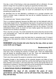One day, a man of God facing a crisis was presented with an ultimatum. He was asked to resign from his position by signing an apparently harmless letter.

Under pressure, he decided to sign the letter and by that decision he inadvertently lost his entire ministry. Years later, he could not understand why he had done something as foolish as that.

He described how he had attended a conference as a younger preacher and heard a minister make a statement that had left an indelible impression on his heart and mind.

The statement was: "beware voices of haste."

This is a scriptural statement because the Bible says he that believeth shall not make haste (Isaiah 28:16). That statement had stuck in his spirit and he knew that it was an important word of wisdom for him. Somehow in the heat of his crisis he forgot that statement. Forgetting that statement cost him his ministry. If he had remembered these words, he would not have hastily signed that document and handed over his ministry to strangers.

This is why the Lord said, "You shall remember the words which the servant of the Lord commanded you." There are certain words spoken by God's servants that you must remember.

Righteous people remember what God tells them to remember even if it doesn't make sense. God asked the children of Israel not to forget what Amalek had done to them.

## **REMEMBER what Amalek did unto thee by the way, when ye were come forth out of Egypt;**

## **Deuteronomy 25:17**

Remembering the wickedness of certain people may be important for your safety. Time has a way of erasing the memory of certain evils. There are relationships that will always be stumbling blocks to your life. There are relationships God wants you to stay away from both today and in the future.

That is why God wanted His people to remember what Amalek had done.

Forgetting Amalek is like forgetting all the potential dangers and killers of your ministry. "Therefore it shall be, when the Lord thy God hath given thee rest from all thine enemies round about, in the land which the Lord thy God giveth thee for an inheritance to possess it, that thou shalt blot out the remembrance of Amalek from under heaven; thou shalt not FORGET it" (Deuteronomy 25:19).

## **5. RIGHTEOUS PEOPLE REMEMBER THE OLD DAYS.**

**REMEMBER the days of old, consider the years of many generations: ask thy father, and he will shew thee; thy elders, and they will tell thee.**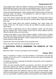## **Deuteronomy 32:7**

Young people often make the mistake of thinking that everything old is useless. Remembering the days of old is what we call studying history. I know of no subject that is more important than the study of history! History repeats itself in cycles!

Events just repeat themselves. History repeats itself. Studying history will help you know the future. The future is not determined by what you expect or by the principles you have put in place.

Lions have natural instincts that they follow mindlessly. Following these natural instincts create the cycles of lion life such as hunting, killing, mating and bringing forth cubs.

When human beings follow their instincts mindlessly, they create cycles and trends of their own. The trends of human life are difficult to predict except you study history.

Human history is determined more by man's jealousies, hatred, lust and malice than by anything else. These invisible "rivers" lead to certain patterns that are difficult to predict unless you study history.

A study of the history of man simply reveals a pattern of strife and war. People who watch the History Channel are amazed to find that much of man's history is simply wars that repeat themselves. History reveals that the surprising outcome of human instincts is strife and war.

Anyone who does not study history will be surprised at life.

This is why God's instruction is to remember the days of old.

## **6. RIGHTEOUS PEOPLE REMEMBER THE BENEFITS OF THE LORD**

Bless the LORD, O my soul, and forget not all his benefits

## **Psalms 103:2**

Why is it important to "forget" not all his benefits? It is important to see that the benefits are from the Lord. It is important to see that every good and perfect gift comes from above.

The ability to see and to remember the benefits of serving the Lord is necessary if we are to walk with Him.

When you don't remember benefits you become a murmurer. Evil spirits inhabit murmurers! Without the ability to remember benefits, discontentment sets in. Read your Bible and discover what happens to murmurers and complainers.

Forgetful people must never attempt to work for God in full-time ministry. There will be too many things to complain about. Full-time ministry is reserved for people who can see benefits, remember benefits and be grateful for the smallest benefits.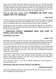If you can remember that every benefit is from the Lord, you will have the right attitude when you are promoted. You will remember God when you are promoted! You will remember those who helped you when you are promoted! You will even remember those who suffered with you when you are promoted! The thief on the cross knew that Jesus would remember those who suffered with Him.

## **And he said unto Jesus, Lord, REMEMBER ME WHEN THOU COMEST INTO THY KINGDOM.**

## **Luke 23:42**

The thief on the cross knew that Jesus was just about to be promoted. He begged Jesus to remember him when the promotion came. Is this not what we pray for when our friends are lifted up? Jesus promised to put the thief in paradise.

Unfortunately, when an ordinary person is promoted through politics, marriage or football they do not remember the commoners anymore. Please remember us in the day you are promoted.

#### **7. RIGHTEOUS PEOPLE REMEMBER WHAT GOD DOES TO PEOPLE JUST LIKE THEM.**

#### **Remember Lot's wife.**

## **Luke 17:32**

Remember what the Lord did to Lot's wife. Jesus urged His followers to remember Lot's wife. Lot's wife speaks of someone who looks backward instead of forward. She represents all who follow the Lord but whose hearts are somewhere else.

I have seen missionary wives who lived with their husbands on the mission field but whose hearts were not on the field. Lot's wife was looking back at where she came from. She wanted to go back. Lot's wife was a missionary's wife who wanted to go back home!

Lot's wife did not deserve to be among the few that were saved. That is why she turned into a pillar of salt. Every minister should remember Lot's wife. Every pastor's wife should remember Lot's wife. Every Christian should remember to serve the Lord without looking back.

Also remember what the Lord did to Miriam. Remember what happened to someone just like you!

#### **Remember what the lord thy God did unto Miriam …**

## **Deuteronomy 24:9**

Whenever something happens to someone just like you, you must take note of it. It is a message from the Lord for you.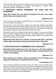That could have been you but God spared you and chose to warn you instead. The Lord told the Israelites to remember what happened to Miriam. What happened to Miriam could happen to anyone.

## **8. RIGHTEOUS PEOPLE REMEMBER THE POOR AND THE PRISONERS.**

#### **Only they would that we should remember the poor; the same which I also was forward to do.**

## **Galatians 2:10**

You do not have to be urged to remember the rich. It is natural to remember those who are prominent amongst you.

The poor man, on the other hand, comes to you laden with problems and needs. He needs your help and he wants to get as much as he can from you. Most of us turn our eyes away from the endless needs of the poor. The Scripture is clear that poor people should be remembered and included in our plans.

Prisoners are part of our society but they are out of sight. It is also easy to forget them. It is easy to forget that they even exist. The Scripture tells us to remember the people in prison. Every church must have a prison ministry. Every pastor must preach in the prisons of his country.

#### **Remember them that are in bonds, as bound with them; and them which suffer adversity, as being yourselves also in the body.**

**Hebrews 13:3**

## **9. RIGHTEOUS PEOPLE REMEMBER GOD'S SERVANTS.**

**Remember them which have the rule over you, who have spoken unto you the word of God: whose faith follow, considering the end of their conversation.**

**Hebrews 13:7**

#### **Now I praise you, brethren, that ye remember me in all things, and keep the ordinances, as I delivered them to you.**

## **1 Corinthians 11:2**

We must also remember the servants of the Lord. Many church members have stable and normal lives because of the direction and inspiration they receive from their church. Yet the pastor is often the last to be remembered. Sometimes people speak of their new jobs, new contracts and salary increases. Often, all we see is a new car, a new house and more celebrations.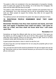The pastor is often not considered in the new dispensation of prosperity. Actually, when he dares ask support for the ministry, he is told about the mortgages, the loans and the other bills that have to be paid.

The pastor is also informed about how certain contracts and payments have not yet materialized. He is then promised that he will be remembered when things work out. When people do support the ministry, they often do not support the pastor himself.

The righteous person will remember the pastor who labours spiritually for them.

## **10. RIGHTEOUS PEOPLE REMEMBER WHAT THEY HAVE RECEIVED.**

**Remember therefore how thou hast received and heard, and hold fast, and repent. If therefore thou shalt not watch, I will come on thee as a thief, and thou shalt not know what hour I will come upon thee.**

#### **Revelation 3:3**

Sometimes we forget the different gifts that we have received. If God gave you five talents you will be judged for the use of all five. Many people have forgotten what they have received. Some of us have put aside our gifts. Some of us have trivialized certain gifts thinking them to be nothing.

A great prophet described a vision in which he saw the Lord.

He told of how the Lord had rebuked him for not using the prophetic gift as much as he should have.

The Lord told him that his life would be shortened if he did not repent and use his gift. Remember what you have received because you will account for every single gift you were given.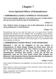# **Chapter 7**

## **Seven Spiritual Effects of Remembrance**

## **1. REMEMBRANCE CAUSES A STIRRING OF THE BELIEVER.**

**This second epistle, beloved, I now write unto you; in both which I stir up your pure minds by way of remembrance**

## **2 Peter 3:1**

#### **Yea, I think it meet, as long as I am in this tabernacle, to stir you up by putting you in remembrance**

#### **2 Peter 1:13**

Remembrance stirs up your spirit and spurs you on to good works. Powerful preaching that reminds us of our salvation stirs up Christians to soul winning. Powerful preaching that reminds us of Heaven and Hell stirs up Christians to soul winning. Sit back and remember the things the Lord has told you. Sit back and remember your visions and dreams. Get excited again as you remember what God is going to do with you.

## **2. REMEMBRANCE CAUSES PEOPLE TO BE ESTABLISHED.**

**Wherefore I will not be negligent to put you always in remembrance of these things, though ye know them, and be established in the present truth. Yea, I think it meet, as long as I am in this tabernacle, to stir you up by putting you in remembrance; knowing that shortly I must put off this my tabernacle, even as our Lord Jesus Christ hath shewed me. Moreover I will endeavour that ye may be able after my decease to have these things always in remembrance.**

## **2 Peter 1:12-15**

Peter wanted his followers to be established. He wrote this letter to them with this in mind.

Peter wanted to make sure that they would remember certain things after his death. That is why he wrote this letter.

Books, biographies and knowledge of history will make you remember and will establish you in your mission.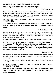## **3. REMEMBRANCE MAKES PEOPLE GRATEFUL.**

#### **I thank my God upon every remembrance of you**

## **Philippians 1:3**

Paul became thankful when he remembered the Philippians. Remembrance and gratitude are related virtues. When you think of what Jesus has done for you your heart should be filled with gratitude. When you remember what someone has done for you become grateful for the person's life.

#### **4. REMEMBRANCE CAUSES YOU TO RECEIVE THE HOLY COMMUNION.**

#### **And when he had given thanks, he brake it, and said, Take, eat: this is my body, which is broken for you: this do in remembrance of me.**

## **1 Corinthians 11:24**

People give all sorts of reasons for the Holy Communion. But the main reason for the institution of the Lord's Supper is remembrance. Jesus, knowing how forgetful people were, instituted the celebration of the Holy Communion. He wanted people to remember His sacrifice for them.

## **5. REMEMBRANCE CAUSES YOU TO BE A DOER OF THE WORD.**

**But be ye doers of the word, and not hearers only, deceiving your own selves. For if any be a hearer of the word, and not a doer, he is like unto a man beholding his natural face in a glass: for he beholdeth himself, and goeth his way, and straightway forgetteth what manner of man he was.**

## **James 1:23-24**

When people do not remember the Word they become hearers and not doers of the Word. You must become a doer of the Word by remembering things that must not be forgotten.

There are many hearers of the Word but not so many doers. It is time to become a doer of the Word.

## **6. REMEMBRANCE CAUSES YOU TO WORK QUICKLY WHILE YOU HAVE THE TIME.**

**For the living know that they shall die: but the dead know not anything, neither have they any more a reward; for the memory of them is forgotten.**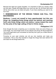## **Ecclesiastes 9:5**

Because the dead are quickly forgotten, it is important to fulfil your ministry while you are alive. People will forget about you once you die. Do not think that much will be done when you are dead and gone. If you have anything you want to do, do it now.

## **7. REMEMBRANCE OF THE WRONG THINGS CAN PULL YOU BACKWARDS.**

#### **Brethren, I count not myself to have apprehended: but this one thing I do, forgetting those things which are behind, and reaching forth unto those things which are before, I press toward the mark for the prize of the high calling of God in Christ Jesus.**

## **Philippians 3:13**

Even though this book is teaching you to remember, there are some things you must forget. You must forget some of your failures and shrug off discouragement. You must forget about your successes so that they don't give you a false sense of achievement.

Focusing on your past victories can lull you into inactivity and make you complacent. This is why Paul decided to forget the things that were behind him and reach for the things before him.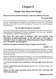# **Chapter 8**

## **People You Must Not Forget**

#### **Remove not the ancient landmark, which thy fathers have set.**

#### **Proverbs 22:28**

As you go through life you will meet some people who mark the turning points of your life. These people are landmarks in your journey to God. You must believe that they did not walk into your life accidentally. They came into your life because God sent them.

#### **Do You Meet People by Accident?**

The book of Daniel starts by saying that God delivered Jehoiakim into the hand of Nebuchadnezzar. Meanwhile the secular newspapers may have read, "Jehoiakim was defeated in a battle with Nebuchadnezzar."

**But from the view point of Heaven, God had handed over Jehoiakim to Nebuchadnezzar! In the third year of the reign of Jehoiakim king of Judah came Nebuchadnezzar king of Babylon unto Jerusalem, and besieged it.**

**And the Lord gave Jehoiakim king of Judah into his hand…**

## **Daniel 1:1-2**

God brought Nebuchadnezzar into the picture and displaced Jehoiakim. This was the hand of God. You must believe in the sovereignty of God and that He sends people of His choice into your life. You must welcome and receive whomever God sends into your life.

Instead of fighting the people that God sends to us, we must remember them and honour them. This is the teaching of the Bible. You can see from the Scripture below that many people fight those who are sent to them.

**…he sent his servants to the husbandmen, that they might receive the fruits of it.**

**And the husbandmen took his servants, and** *beat one, and killed another, and stoned another*.

**Again, he sent other servants more than the first: and they did unto them likewise.**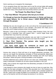God is warning us to recognize His messengers.

I try to recognize those who have been sent to me! Do not just relate with people in the natural. Interpret their entrance as a supernatural event. That way, you will benefit from many of the people that God divinely sends to your life.

## **Ten People You Must Never Forget**

#### **1.** *Your Soul Winner***: The person who led you to Christ**

#### **For though ye have ten thousand instructors in Christ, yet have ye not many fathers: for in Christ Jesus I HAVE BEGOTTEN YOU through the gospel.**

## **1 Corinthians 4:15**

Definitely the one who brought you to the Lord will be the most special person in your life. Your greatest treasure is your salvation. The person who helps you to know the Lord is indeed someone never to be forgotten.

Because I came to the Lord through a ministry called Scripture Union, the Lord asked me to remember them and support them. I cannot forget those who sacrificed that I may know the Lord today.

It is presumptuous to assume that salvation was your right. It is through the toil and effort of dedicated Christians that anyone ever hears the Gospel!

#### **2.** *Your First Teacher***: The person who taught you the fundamentals of Christianity**

## **…you have need again for someone to teach you THE ELEMENTARY PRINCIPLES of the oracles of God…**

## **Hebrews 5:12, NASB**

Anyone who comes to Christ will have to be taught elementary principles. The way you are taught the elementary principles of Christ permanently determines your spiritual make-up. Some people start their Christian race with much fasting and prayer. Others are given a strong foundation in the Scriptures.

All these determine how a person will turn out in the Lord. Unfortunately, many of today's charismatic Christians do not have a good foundation in the Lord.

Sadly, many of those who taught them the elementary principles of Christ did not do a thorough job.

I was blessed to have someone who taught me how to have my quiet time. She taught me the basic principles of Christ. She grounded me in the Scripture and made me know that the Bible can be used to answer every practical question of this life. I learnt how to apply the Bible to my everyday life. I cannot forget her; she was my first teacher and she will always be precious in my memory.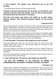## **3.** *Your Inspirer***: The person who influenced you to go into ministry**

…And Eli perceived that the Lord had called the child.

**Therefore, Eli said unto Samuel, Go, lie down: and it shall be, if he call thee, that thou shalt say, Speak, Lord; for thy servant heareth. So Samuel went and lay down in his place.**

#### **And the Lord came, and stood, and called as at other times, Samuel, Samuel. Then Samuel answered, Speak; for thy servant heareth.**

## **1 Samuel 3:8-10**

Eli encouraged Samuel to respond to the call of God. Eli was Samuel's trainer and inspirer in the Ministry. If Eli were not there, Samuel would not have been in the Ministry. Samuel would not have known what the call of God was. Look into your life and you will discover who inspired you into Ministry.

Most people in this world would discourage you from being in the Ministry. Many Christians, including ministers, discourage people from being in full-time ministry. But there are some precious few who would encourage you to obey the call of God. These are special people and you must never forget them.

## **4.** *Your Example***: The person who taught you how to preach**

There are people who come into your life and show you some of the most valuable skills of life. One of the most important skills you will need for your ministry is the ability to preach.

How many people in this world can ever teach you how to preach? There are many Biology, Chemistry and Physics teachers, but how many can teach you how to preach?

If you have been exposed to someone who will show you how to preach, then you have met one of life's rare treasures!

## **5.** *Your Life Teacher***: The person who taught you about life**

## **…be thou AN EXAMPLE of the believers, IN WORD, IN CONVERSATION, IN CHARITY, IN SPIRIT, IN FAITH, IN PURITY.**

## **1 Timothy 4:12**

Usually, there is someone who teaches you a lot about life. As you can see in the Scripture above, Paul was an example in word and in many other things. Many of us do not have good examples of marriage and home life.

Often you will learn much about life through example setters that God will send to you. God knew that your home would not be able to train you in everything. He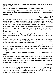has raised up others to fill the gaps in your upbringing. You must learn from these people as well.

## **6.** *Your Trainer***: The person who trained you in ministry**

## **And the things that you have heard from me among many witnesses, commit these to faithful men who will be able to teach others also.**

## **2 Timothy 2:2, NKJV**

My first good sermons were the ones that I copied from Kenneth Hagin. There are people through whom you become anointed and seasoned for the work of God. There are also people who will teach you how to pray, how to fast and how to wait on the Lord. Their guidance is invaluable and makes all the difference.

God blessed me with various anointed men through whom I have learnt about ministry. God blessed me and anointed me one day in July 1988 through the person I see as my trainer in the ministry. I loved to listen to him and hear all he had to say about ministry.

I loved to read his books and glean everything I could from them. All that I knew of real ministry I learnt from him. Surely, he was a special trainer sent from God for my life!

I was in a minibus in Nairobi, Kenya when I heard the news that my trainer had died. I was heartbroken and I wept in the bus as we drove to the hotel. I felt as though somebody I had lived with had passed away.

Can there be anybody more precious than the one through whom you gained access to the highest calling ever offered to men? Can you ever forget such a person? Indeed, if the ministry is precious to you, the one who trained you will be a very special person!

#### **7. Your Launcher: The person who gave you an opportunity in ministry**

**But BARNABAS TOOK HIM, AND BROUGHT HIM to the apostles, and declared unto them how he had seen the Lord in the way, and that he had spoken to him, and how he had preached boldly at Damascus in the name of Jesus.**

## **Acts 9:27**

In December of 1991, my pastor ordained me into the ministry. He laid hands on me and ushered me into the ministry in front of a large congregation in London. After that, he gave me an opportunity to preach in his church. I am always grateful to him for the great honour that was bestowed on me.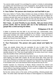You cannot ordain yourself. It is a privilege for a senior in ministry to acknowledge you publicly and recommend you to the congregation. Such people must never be forgotten. Many years have gone by but I have not forgotten how and through whom God launched me into ministry.

## **8.** *Your Father***: The person who loved you and had faith in you**

Paul was a father to Timothy. Many ministers are simply not fathers. Elijah was a father in the ministry and he left behind a son, Elisha. Elisha had no patience for covetous servants who were not as keen on the anointing as he was. When the opportunity came, Elisha cursed Gehazi and that was the last time we heard of him. Sadly, many great ministers leave no one behind to take after them.

#### **But I hope…to send Timothy to you shortly…But you know of his proven worth, that he served with me in the furtherance of the gospel like a child serving his father.**

## **Philippians 2:19, 22**

A father is someone who has faith in you and loves you. Unfortunately, many ministers are insecure and unable to play the role of a father. I have encountered many great ministers who seem intimidated by my ministry. I rarely felt love or faith coming from these people. Mostly, I sensed suspicion and wariness from people who should have been fathers.

I pray that when it is my turn God will make me a loving father to someone.

## **9.** *Your Forerunner***: The person who goes ahead and fights for you**

These are people whose lives are examples for you to learn from. They experience many things right before your eyes and God expects you to watch closely and learn. God has allowed me to see and learn from many wonderful apostles ahead of me. They have fought battles for the entire church and I simply enjoy the benefits of their unfortunate experiences.

Solomon entered into the victories that his father had won. David's whole life was spent fighting one battle after another. By the time David died, there were few enemies for Solomon to conquer. Solomon spent his time building, not fighting. He even used his armies for construction instead of war. Solomon may have seemed to accomplish more, but it was because David had paved the way for him!

Another example of a forerunner is Moses. Moses endured the criticism and hardness of heart of the nation of Israel. He did not have a single day of peace as he led millions of grumbling Israelites. He had to quell one rebellion after another, while at the same time, writing their laws.

By the time Joshua came on the scene, all the grumbling, criticizing people were dead. The entire nation had learnt the lesson of what happens to a discontented,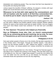disobedient and unbelieving people. They now knew that their lives depended on having faith and obeying their leader.

Joshua reaped the benefits of Moses' suffering. He enjoyed a ministry with loyal people who would eliminate anyone who dared to grumble.

#### **Whosoever he be that doth rebel against thy commandment, and will not hearken unto thy words in all that thou commandest him, he shall be put to death: only be strong and of a good courage.**

## **Joshua 1:18**

They promised Joshua that they would kill anyone who rebelled against him. Can you see what a different and positive attitude Joshua enjoyed? Moses suffered criticism for years so that Joshua could have an easier ministry. Can you imagine how much more Moses would have achieved if he had had such committed people?

## **10.** *Your Sponsor***: The person who helped you financially**

## **Now ye Philippians know also, that…no church communicated with me as concerning giving and receiving, but ye only. For even in Thessalonica ye sent once and again unto my necessity.**

## **Philippians 4:15-16**

God used certain people to finance me in the ministry. My big sister supported me in the ministry when I first began. Through her monthly support, I was able to launch out into full-time ministry in 1991. Without her support, I would not be where I am today. I am always grateful and I always remember her privately and publicly.

My own mother has supported me in the ministry. Through her financial support, I was able to live in Ghana and continue in the ministry. This has been God's way of providing for me. How can I forget these people? It would be a sin before the Lord. No matter how the Lord lifts me up and blesses me financially, I must remember those who sponsored me from the very beginning.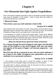# **Chapter 9**

## **Five Memorials that Fight Against Forgetfullness**

God in His wisdom instituted memorials to help us remember important things that must never be forgotten. In this section, I want to share about the wisdom of memorials that help us to remember.

#### **1. Memorial Feasts**

#### **Three times a year you shall celebrate a feast to Me.**

## **Exodus 23:14, NASB**

God ordained three main feasts for Israel. These feasts commemorated various significant events in the life of the nation Israel. They were to serve as reminders of significant things that the Lord taught them in their walk with Him.

I am presenting an outline of these three feasts below. These seven different events are grouped into three feast times. The Feast of Passover took place in the first month; the Feast of Pentecost took place in the third month, whilst the Feast of Tabernacles was held in the seventh month of the year.

## **What You Should Know about the Feast of Passover**

**For I will go through the land of Egypt on that night, and will strike down all the firstborn in the land of Egypt, both man and beast; and against all the gods of Egypt I will execute judgments - I am the LORD.**

**Now this day will be a memorial to you, and you shall celebrate it as a feast to the LORD; throughout your generations you are to celebrate it as a permanent ordinance.**

## **Exodus 12:12, 14, NASB**

1. The purpose of this feast was to remind the children of Israel of their deliverance from the bondage of Egypt; the passing over of the firstborn.

He wanted them to always remember what He had done for them so that they would serve Him and trust Him for the future.

2. This feast of Passover was also called the Days of Unleavened Bread. It was ordained by God. "Now the LORD said to Moses and Aaron in the land of Egypt, "This month shall be the beginning of months for you; it is to be the first month of the year to you" (Exodus 12:1-2, NASB).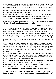3. The feast of Passover commenced on the fourteenth day of the first month at even. "In the first month, on the fourteenth day of the month at evening, you shall eat unleavened bread, until the twenty-first day of the month at evening. Seven days there shall be no leaven found in your houses; for whoever eats what is leavened, that person shall be cut off from the congregation of Israel, whether he is an alien or a native of the land" (Exodus 12:18-19, NASB).

4. The feast of Passover lasted seven days during which unleavened bread was eaten. "Seven days you shall eat unleavened bread…" (Exodus 12:15, NASB).

## **What You Should Know about the Feast of Pentecost**

#### **Also you shall observe the Feast of the Harvest of the first fruits of your labors from what you sow in the field…**

## **Exodus 23:16, NASB**

1. The purpose of this festival was to celebrate their first fruits. Every first fruit is a blessing from the Lord. The first fruit belongs to God. God instituted this feast to remind the children of Israel of how He provides the blessing of the first fruit.

It is a blessing to have a child. The very first child is the most difficult to have. It is therefore given to the Lord as a special offering. The first part of the harvest is also a special offering to the Lord. It is the tithe and God owns it (Leviticus 27:30).

2. This feast was also called the Day of Pentecost, the Feast of Weeks and the Day of the First Fruits.

3. The Feast of Pentecost was held on the fiftieth day after offering the first sheaf of barley harvest. "You shall also count for yourselves from the day after the Sabbath, from the day when you brought in the sheaf of the wave offering; there shall be seven complete Sabbaths. You shall count fifty days to the day after the seventh Sabbath; then you shall present a new grain offering to the LORD" (Leviticus 23:15-16, NASB).

4. The Feast of Pentecost was to be perpetually observed. "On this same day you shall make a proclamation as well; you are to have a holy convocation. You shall do no laborious work. It is to be a perpetual statute in all your dwelling places throughout your generations" (Leviticus 23:21, NASB).

5. The Feast of Pentecost was to be attended by all. "Three times a year all your males shall appear before the Lord GOD" (Exodus 23:17, NASB).

6. The Feast of Pentecost was a time of holy rejoicing. "And you shall rejoice before the LORD your God…" (Deuteronomy 16:11, NASB).

## **What You Should Know about the Feast of Tabernacles**

**…that your generations may know that I made the children of Israel to dwell in booths, when I brought them out of the land of**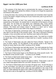## **Egypt: I am the LORD your God.**

## **Leviticus 23:43**

1. The purpose of the feast was to commemorate the sojourn of Israel in the desert. Once again God wanted the children of Israel not to forget the experience and lessons of the desert.

2. During this feast, they would go into tabernacles and remember what it was like to live in the desert. Imagine moving out of your house every year to go and live in a tent for a week.

What was the essence of this? God wanted the Israelites to remember the experiences of the desert. He wanted them to remember all the lessons of those forty years. Do not black out and delete your wilderness days. Every painful experience you have had is intended to be remembered. Remember your siniazos. The Greek word siniazo means to "shake in a seive" and to "cause inward agitation and to try one's faith to the verge of overthrow".

3. This feast of tabernacles commenced with a day of blowing of trumpets and was held on the first day of the seventh month. This was a memorial of blowing trumpets, a holy convocation and rest. Sacrifices were made at this festival.

4. During the Feast of Tabernacles people dwelt in tents. "You shall live in booths for seven days; all the native-born in Israel shall live in booths" (Leviticus 23:42, NASB).

5. The Feast of Tabernacles was also called the Feast of Booths. "Speak to the sons of Israel, saying, "On the fifteenth of this seventh month is the Feast of Booths for seven days to the LORD" (Leviticus 23:34, NASB).

6. The Feast of Tabernacles was held after harvest. "You shall celebrate the Feast of Booths seven days after you have gathered in from your threshing floor and your wine vat" (Deuteronomy 16:13, NASB).

7. The Feast of Tabernacles began on the fifteenth day of the seventh month. "On the fifteenth of this seventh month…" (Leviticus 23:34, NASB).

8. The Feast of Tabernacles lasted seven days. "…the Feast of Booths for seven days to the LORD" (Leviticus 23:34, NASB).

9. The Feast of Tabernacles required all males to attend. "Three times a year all your males shall appear before the Lord GOD" (Exodus 23:17, NASB).

10. The Feast of Tabernacles were to be days off regular work. "On the first day is a holy convocation; you shall do no laborious work of any kind. On exactly the fifteenth day of the seventh month, when you have gathered in the crops of the land, you shall celebrate the feast of the LORD for seven days, with a rest on the first day and a rest on the eighth day" (Leviticus 23:35,39, NASB).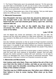11. The Feast of Tabernacles was to be perpetually observed. "On this same day you shall make a proclamation as well; you are to have a holy convocation. You shall do no laborious work. It is to be a perpetual statute in all your dwelling places throughout your generations" (Leviticus 23:21, NASB).

12.The Feast of Tabernacles was a time of holy rejoicing. "And you shall rejoice before the LORD your God…" (Deuteronomy 16:11, NASB).

# **2. Memorial Ceremonies**

**Now Elisabeth's full time came that she should be delivered; and she brought forth a son. And her neighbours and her cousins heard how the Lord had shewed great mercy upon her; and they rejoiced with her.**

**And it came to pass, that on the eighth day they came to circumcise the child; and they called him Zacharias, after the name of his father.**

## **Luke 1:57-59**

John the Baptist was named and dedicated a few days after his birth. His entrance into this world was marked by a little home ceremony. This ceremony was recorded in the Bible and for all time reminds us of the supernatural birth of John.

God also instituted ceremonies so that we would not forget important covenants that we have made. Weddings and baby dedications are common ceremonies we know about. It is possible to get married without any ceremony whatsoever. A declaration by a pastor will initiate a marriage between two people if they believe in the pastor's pronouncement.

Most people however do not enter this covenant lightly or without ceremony. They mark the event with much expense on decorations, dresses, food and jollity. Because the marital covenant is marked with such ceremony, it is not easy to break or to disengage from. Such is the power of ceremonial memorials. These ceremonies go a long way to remind us of important covenants we make.

## **3. Memorials and Monuments**

**And Joshua said unto them, Pass over before the ark of the Lord your God into the midst of Jordan, and take ye up every man of you a stone upon his shoulder, according unto the number of the tribes of the children of Israel:**

**That this may be A SIGN among you, that when your children ask their fathers in time to come, saying, What mean ye by these stones?**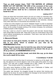**Then ye shall answer them, THAT THE WATERS OF JORDAN WERE CUT OFF BEFORE THE ARK of the covenant of the Lord; when it passed over Jordan, the waters of Jordan were cut off: and these stones shall be for a memorial unto the children of Israel for ever.**

# **Joshua 4:5-7**

There are times that monuments need to be set up to keep our memories alive. Sometimes things have to be named after someone in order to remember the person's contribution. London is a city of monuments and memories, whereas many other cities have no monuments and remember no one.

I named one of the chapels in our church "Adelaide Chapel" in order to remember my wife's contribution to my life and ministry. It is an important memorial for the future. As the number of people working in the ministry increases, the contribution of faithful people is often forgotten.

One day, I went to a church in which the pastor's wife had died. Several things were named after his former wife. There was no way you could spend a day in the church without remembering her contribution. There was a new wife but the first wife was remembered!

### **4. Memorial Rituals**

**And when he had given thanks, he brake it, and said, Take, eat: this is my body, which is broken for you: this do IN REMEMBRANCE of me.**

**After the same manner also he took the cup, when he had supped, saying, This cup is the new testament in my blood: this do ye, as oft as ye drink it, IN REMEMBRANCE of me.**

**For as often as ye eat this bread, and drink this cup, ye do shew the Lord's death till he come.**

## **1 Corinthians 11:24-26**

Our Lord Jesus instituted the ritual of communion to remind us of His death. One day, the deacons of a church slipped a note on the pulpit of the pastor of a huge church. The note had a simple message and it said, "Pastor, we would see Jesus." They actually quoted from a passage in John 12:21:

The same came therefore to Philip, which was of Bethsaida of Galilee, and desired him, saying, Sir, we would see Jesus.

The pastor was stunned. He struggled through his sermon that morning and slipped into his study. He could not believe the message he had received from the deacons. But he understood what it meant!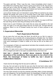The pastor said later, "When I saw the note, I knew immediately what it meant. I had drifted from preaching about Christ to giving good advice for life. My sermons were just tips to solve the felt needs of the people. I knew I had shifted from teaching about Jesus Christ. I had left true Scripture and had become a teacher of success, positive thinking and self-empowerment."

Just as those Greeks were not interested in seeing Philip but wanted to see Jesus Himself, the people who come to our churches want to see Jesus. People who come to our churches need Jesus! Sadly, we ministers often sideline Christ Jesus. But Jesus must be the centre and focus of all that we do.

This is why the Lord instituted the ritual of the Lord's Supper. It is easy to drift from the main thing. But the main thing will always be the main thing!

Satan loves to push Christians onto roads that are close and parallel to the real road. He urges us on into good things that are not God's will. Through demonic guidance, there is a lot of Christian activity but much of God's purpose is set aside.

### **5. Supernatural Memorials**

## **Paul's Supernatural Reminder**

As you serve the Lord and obey His Word, He will lift you up. But it is easy to forget that you are a nonentity who is being blessed by Almighty God. Our fleshly nature tends to pride as quickly as a stone drops from a height. God in His mercy must send messengers of Satan to buffet us so that we will not be lifted up in pride.

The messengers of Satan are supernatural reminders that constantly remind us of our mortality and nothingness.

Perhaps, if it were not for some of these supernatural reminders we would shoot off on a tangent and claim to be super successful heroes who know it all.

### **And lest I should be exalted above measure through the abundance of the revelations, there was given to me a thorn in the flesh, the messenger of Satan to buffet me, lest I should be exalted above measure.**

# **2 Corinthians 12:7**

I thank God for the things that He has sent to buffet me.

One day, the Lord said to me that He was sorry that He had had to allow certain things to happen in my life. He told me that He had blessed me with much more in the ministry than many others would ever dream of.

The Holy Spirit showed me that the potential pride-filling effect of these blessings was very dangerous. He had therefore given me messengers of Satan who would box me into a pitiful state where I would find myself falling to my knees in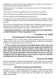helplessness. He told me that these messengers of Satan were necessary to protect me from pride and other spiritual evils.

Sometimes when I am buffeted, I am brought so low that I feel worse than the lowest wretch.

I ask myself, "How can the weakest person be the pastor of the church?

How can someone whose prayers are not answered lead a congregation?

How can someone who is depressed help anyone else?"

At these times, I see nothing victorious or successful about my ministry. Through the buffeting messages my knees are brought to the ground and tears fall out of my eyes.

God told me to embrace (and not fight) these distressing things, which are reproaches and infirmities in my life. Indeed, I have come to discover that when I take pleasure in these infirmities, the power of Christ rests on me.

#### **…Most gladly, therefore, I will rather boast about my weaknesses, so that the power of Christ may dwell in me.**

# **2 Corinthians 12:9, NASB**

## **Nebuchadnezzar's Supernatural Reminder**

Nebuchadnezzar had a mental illness, which reminded him that God was in charge of this world and not him! Nebuchadnezzar needed this supernatural reminder to bring him down to size. He was told:

**…O king, and this is the decree of the Most High, which has come upon my lord the king: that you be driven away from mankind and your dwelling place be with the beasts of the field, and you be given grass to eat like cattle and be drenched with the dew of heaven; and seven periods of time will pass over you, until you recognize that the Most High is ruler over the realm of mankind and bestows it on whomever He wishes.**

## **Daniel 4:24-25, NASB**

After this supernatural reminder, Nebuchadnezzar was transformed into a humble king. He lived and reigned humbly after God supernaturally reminded him of whom he really was.

#### **Belshazzar's Supernatural Reminder**

Belshazzar, the son of Nebuchadnezzar equally needed a supernatural reminder to bring him down to size. Unfortunately, his reminder came on the day of his death. God expected him to have learnt from his father's life, especially his father's mental illness.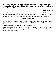### **And thou his son, O Belshazzar, hast not humbled thine heart, though thou knewest all this; then was the part of the hand sent from him; and this writing was written.**

# **Daniel 5:22, 24**

Sometimes, something that happens to someone just ahead of you is a supernatural reminder of the way to go and the things to avoid. May your eyes be opened to understand the supernatural reminders that are placed before you!

### **The Conclusion**

It is my prayer, O my son that this treatise which I have endeavoured to share with you on the subject of remembrance, will be embedded in your heart.

To the making of many books, there is indeed no end!

I therefore must come to a conclusion here. I pray that God will bless you with lasting loyalty so that one day, you will hear those blessed words, "Well done, good and faithful servant."